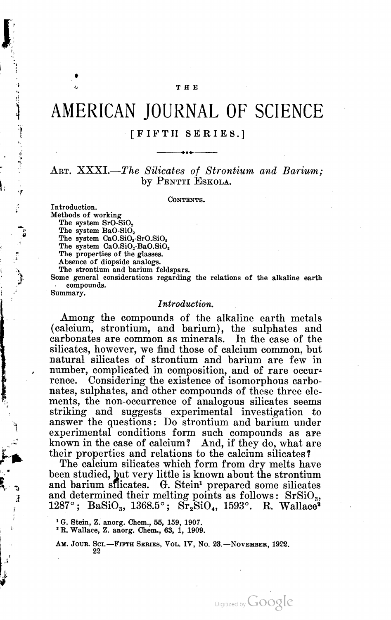# $\frac{1}{2}$  THE

# AMERICAN JOURNAL OF SCIENCE

# - [FIFTH SERIES.]  $\ddot{\phantom{0}}$

# ART. XXXI.—The Silicates of Strontium and Barium; by PENTTI ESKOLA.

CONTENTS.

Introduction. Methods of working The system SrO-SiO<sub>2</sub> The system BaO-SiO<sub>2</sub> The system  $CaO.SiO<sub>2</sub>-SrO.SiO<sub>2</sub>$ The system  $CaO.SiO<sub>2</sub>$ -Ba $O.SiO<sub>2</sub>$ The properties of the glasses. Absence of diopside analogs. The strontium and barium feldspars. Some general considerations regarding the relations of the alkaline earth compounds.

Summary.

phase to manufacture

#### Introduction.

Among the compounds of the alkaline earth metals (calcium, strontium, and barium), the sulphates and carbonates are common as minerals. In the case of the silicates, however, we find those of calcium common, but natural silicates of strontium and barium are few in number, complicated in composition, and of rare occurrence. Considering the existence of isomorphous carbo nates, sulphates, and other compounds of these three ele ments, the non-occurrence of analogous silicates seems striking and suggests experimental investigation to answer the questions: Do strontium and barium under experimental conditions form such compounds as are known in the case of calcium? And, if they do, what are their properties and relations to the calcium silicates?

The calcium silicates which form from dry melts have been studied, but very little is known about the strontium and barium silicates. G. Stein<sup>1</sup> prepared some silicates and determined their melting points as follows:  $SrsiO_3$ , 1287°; BaSiO<sub>3</sub>, 1368.5°;  $Sr_2SiO_4$ , 1593°. R. Wallace<sup>2</sup>

Digitized by Google

<sup>1</sup> G. Stein, Z. anorg. Chem., 55, 159, 1907. 'R. Wallace, Z. anorg. Chem., 63, 1, 1909.

AM. JOUR. SCI.-FIFTH SERIES, VOL. IV, No. 23.-NOVEMBER, 1922. 22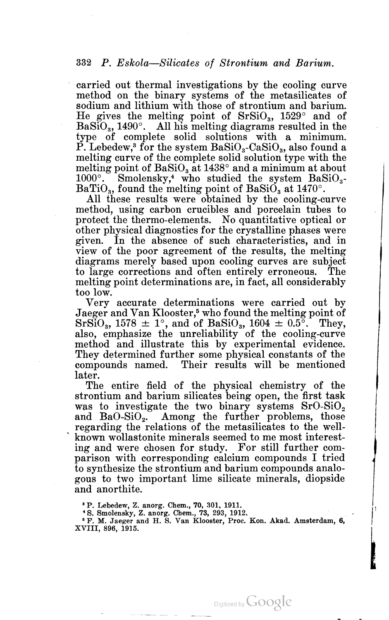' carried out thermal investigations by the cooling curve method on the binary systems of the metasilicates of sodium and lithium with those of strontium and barium.<br>He gives the melting point of  $SrsiO<sub>3</sub>$ , 1529<sup>o</sup> and of  $BaSiO<sub>3</sub>$ , 1490°. All his melting diagrams resulted in the type of complete solid solutions with a minimum. P. Lebedew,<sup>3</sup> for the system  $BaSiO<sub>3</sub>$ -CaSiO<sub>3</sub>, also found a melting curve of the complete solid solution type with the melting point of  $BaSiO<sub>3</sub>$  at  $1438<sup>°</sup>$  and a minimum at about  $1000^\circ$ . Smolensky,<sup>4</sup> who studied the system BaSiO<sub>3</sub>-BaTiO<sub>3</sub>, found the melting point of BaSiO<sub>3</sub> at 1470°.

All these results were obtained by the cooling-curve method, using carbon crucibles and porcelain tubes to protect the thermo-elements. No quantitative optical or other physical diagnostics for the crystalline phases were given. In the absence of such characteristics, and in view of the poor agreement of the results, the melting diagrams merely based upon cooling curves are subject to large corrections and often entirely erroneous. The melting point determinations are, in fact, all considerably

too low.<br>Very accurate determinations were carried out by<br>Jaeger and Van Klooster,<sup>5</sup> who found the melting point of  $SrsiO<sub>3</sub>$ , 1578  $\pm$  1°, and of BaSiO<sub>3</sub>, 1604  $\pm$  0.5°. They, also, emphasize the unreliability of the cooling-curve method and illustrate this by experimental evidence. They determined further some physical constants of the compounds named. Their results will be mentioned later.

The entire field of the physical chemistry of the strontium and barium silicates being open, the first task was to investigate the two binary systems  $SrO-SiO<sub>2</sub>$ and  $BaO-SiO<sub>2</sub>$ . Among the further problems, those regarding the relations of the metasilicates to the well ' known wollastonite minerals seemed to me most interest ing and were chosen for study. For still further com parison with corresponding calcium compounds I tried to synthesize the strontium and barium compounds analo gous to two important lime silicate minerals, diopside and anorthite.

 $\cdot$   $\cdot$ 

" P. Lebedew, Z. anorg. Chem., 70, 301, 1911.

' S. Smolensky, Z. anorg. Chem., 73, 293, 1912.<br>
5 F. M. Jaeger and H. S. Van Klooster, Proc. Kon. Akad. Amsterdam, 6,<br>XVIII. 896, 1915.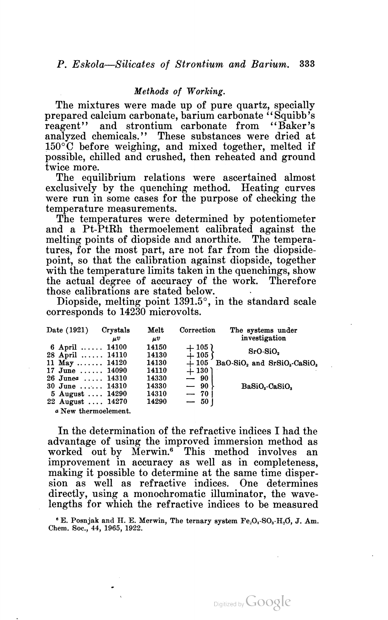# Methods of Working.

The mixtures were made up of pure quartz, specially prepared calcium carbonate, barium carbonate "Squibb's reagent" and strontium carbonate from "Baker's analyzed chemicals." These substances were dried at 150°C before weighing, and mixed together, melted if possible, chilled and crushed, then reheated and ground twice more.

The equilibrium relations were ascertained almost exclusively by the quenching method. Heating curves were run in some cases for the purpose of checking the temperature measurements.

The temperatures were determined by potentiometer and <sup>a</sup> Pt-PtRh thermoelement calibrated against the melting points of diopside and anorthite. The tempera tures, for the most part, are not far from the diopside point, so that the calibration against diopside, together with the temperature limits taken in the quenchings, show the actual degree of accuracy of the work. Therefore those calibrations are stated below. '

Diopside, melting point 1391.5°, in the standard scale corresponds to 14230 microvolts.

| Date (1921)                               | Crystals<br>uV | Melt<br>$\mu v$ | Correction       | The systems under<br>investigation                              |
|-------------------------------------------|----------------|-----------------|------------------|-----------------------------------------------------------------|
| 6 April $\ldots$ 14100<br>28 April  14110 |                | 14150<br>14130  | $+105$<br>$+105$ | SrO-SiO.                                                        |
| 11 May  14120                             |                | 14130           | $+105$           | BaO-SiO <sub>2</sub> and SrSiO <sub>3</sub> -CaSiO <sub>3</sub> |
| $17$ June $14090$                         |                | 14110           | $+130$           |                                                                 |
| $26$ June $a$ 14310                       |                | 14330           | $-90$            |                                                                 |
| 30 June $14310$                           |                | 14330           | — 90             | BaSiO <sub>s</sub> -CaSiO <sub>s</sub>                          |
| 5 August  14290                           |                | 14310           | $-70$            |                                                                 |
| 22 August  14270                          |                | 14290           | $-50$            |                                                                 |
| a New thermoelement.                      |                |                 |                  |                                                                 |

In the determination of the refractive indices I had the advantage of using the improved immersion method as worked out by Merwin.<sup>6</sup> This method involves an improvement in accuracy as well as in completeness, making it possible to determine at the same time disper sion as well as refractive indices. One determines directly, using a monochromatic illuminator, the wave lengths for which the refractive indices to be measured

 $E$ . Posnjak and H. E. Merwin, The ternary system  $Fe_2O_3$ -SO<sub>3</sub>-H<sub>2</sub>O, J. Am. Chem. Soc., 44, 1965, 1922.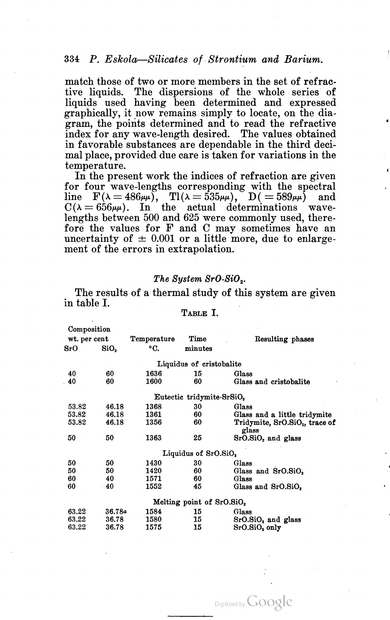match those of two or more members in the set of refractive liquids. The dispersions of the whole series of liquids used having been determined and expressed graphically, it now remains simply to locate, on the diagram, the points determined and to read the refractive index for any wave-length desired. The values obtained in favorable substances are dependable in the third deci mal place, provided due care is taken for variations in the temperature. In the present work the indices of refraction are given

for four wave-lengths corresponding with the spectral for four wave-lengths corresponding with the spectral<br>line  $F(\lambda = 486\mu\mu)$ ,  $Tl(\lambda = 535\mu\mu)$ ,  $D( = 589\mu\mu)$  and line  $F(\lambda = 486\mu\mu)$ ,  $T(\lambda = 535\mu\mu)$ ,  $D( = 589\mu\mu)$  and  $C(\lambda = 656\mu\mu)$ . In the actual determinations wave  $C(\lambda = 656\mu\mu)$ . In the actual determinations wavelengths between 500 and 625 were commonly used, therefore the values for F and C may sometimes have an uncertainty of  $\pm$  0.001 or a little more, due to enlargement of the errors in extrapolation.

# The Sustem SrO-SiO<sub>2</sub>.

The results of a thermal study of this system are given in table I.<br>
TABLE I.

| Composition  |             |         |                                                                                                                                    |
|--------------|-------------|---------|------------------------------------------------------------------------------------------------------------------------------------|
| wt. per cent | Temperature | Time    | Resulting phases                                                                                                                   |
| SiO,         | °C.         | minutes |                                                                                                                                    |
|              |             |         |                                                                                                                                    |
| 60           | 1636        | 15      | Glass                                                                                                                              |
| 60           | 1600        | 60      | Glass and cristobalite                                                                                                             |
|              |             |         |                                                                                                                                    |
| 46.18        | 1368        | 30      | Glass                                                                                                                              |
| 46.18        | 1361        | 60      | Glass and a little tridymite                                                                                                       |
| 46.18        | 1356        | 60      | Tridymite, SrO.SiO <sub>2</sub> , trace of<br>glass                                                                                |
| 50           | 1363        | 25      | SrO.SiO <sub>2</sub> and glass                                                                                                     |
|              |             |         |                                                                                                                                    |
| 50           | 1430        | 30      | Glass                                                                                                                              |
| 50           | 1420        | 60      | Glass and SrO.SiO,                                                                                                                 |
| 40           | 1571        | 60      | Glass                                                                                                                              |
| 40           | 1552        | 45      | Glass and SrO.SiO.                                                                                                                 |
|              |             |         |                                                                                                                                    |
|              | 1584        | 15      | Glass                                                                                                                              |
| 36.78        | 1580        | 15      | SrO.SiO <sub>2</sub> and glass                                                                                                     |
| 36.78        | 1575        | 15      | SrO.SiO <sub>2</sub> only                                                                                                          |
|              |             | 36.78a  | Liquidus of cristobalite<br>Eutectic tridymite-SrSiO <sub>3</sub><br>Liquidus of SrO.SiO,<br>Melting point of SrO.SiO <sub>2</sub> |

Digitized by **GOOGIC**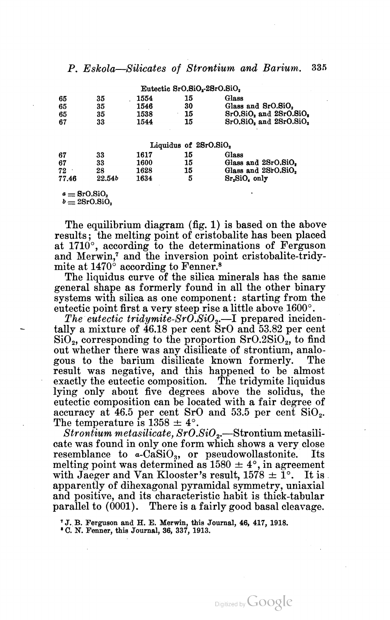| P. Eskola-Silicates of Strontium and Barium. 335 |  |  |  |
|--------------------------------------------------|--|--|--|
|                                                  |  |  |  |

|                            |                 |      | Eutectic SrO.SiO <sub>2</sub> -2SrO.SiO <sub>2</sub> |                                       |
|----------------------------|-----------------|------|------------------------------------------------------|---------------------------------------|
| 65                         | 35              | 1554 | 15                                                   | Glass                                 |
| 65                         | 35              | 1546 | 30                                                   | Glass and SrO.SiO.                    |
| 65                         | 35              | 1538 | 15                                                   | SrO.SiO, and 2SrO.SiO,                |
| 67                         | 33              | 1544 | 15                                                   | $SrO.SiO2$ and $2SrO.SiO2$            |
|                            |                 |      | Liquidus of 2SrO.SiO <sub>2</sub>                    |                                       |
| 67                         | 33              | 1617 | 15                                                   | Glass                                 |
| 67                         | 33              | 1600 | 15                                                   | Glass and 2SrO.SiO.                   |
| 72                         | 28              | 1628 | 15                                                   | Glass and 2SrO.SiO,                   |
| 77.46                      | 22.54b          | 1634 | 5                                                    | Sr <sub>2</sub> SiO <sub>4</sub> only |
| $a =$ SrO.SiO <sub>2</sub> | $b = 2SrO.SiO.$ |      |                                                      |                                       |

The equilibrium diagram (fig. 1) is based on the above results; the melting point of cristobalite has been placed at 1710°, according to the determinations of Ferguson and Merwin,7 and the inversion point cristobalite-tridymite at  $1470^\circ$  according to Fenner.<sup>8</sup>

The liquidus curve of the silica minerals has the same general shape as formerly found in all the other binary systems with silica as one component: starting from the

eutectic point first a very steep rise a little above 1600°.<br>The eutectic tridymite-SrO.SiO<sub>2</sub>.—I prepared incidentally a mixture of 46.18 per cent SrO and 53.82 per cent  $\text{SiO}_2$ , corresponding to the proportion  $\text{SrO.2SiO}_2$ , to find out whether there was any disilicate of strontium, analo gous to the barium disilicate known formerly. The result was negative, and this happened to be almost exactly the eutectic composition. The tridymite liquidus lying only about five degrees above the solidus, the eutectic composition can be located with <sup>a</sup> fair degree of accuracy at 46.5 per cent SrO and 53.5 per cent SiOz. The temperature is  $1358 \pm 4^{\circ}$ .

 $Stronium metasilicate, SrO.SiO<sub>2</sub>$ —Strontium metasilicate was found in only one form which shows a veryclose resemblance to  $\alpha$ -CaSiO<sub>3</sub>, or pseudowollastonite. Its melting point was determined as  $1580 \pm 4^{\circ}$ , in agreement with Jaeger and Van Klooster's result,  $1578 \pm 1^{\circ}$ . It is . apparently of dihexagonal pyramidal symmetry, uniaxial and positive, and its characteristic habit is thick-tabular parallel to (0001). There is a fairly good basal cleavage.

'J. B. Ferguson and H. E. Merwin, this Journal, 46, 417, 1918.

' C. N. Fenner, this Journal, 36, 337, 1913.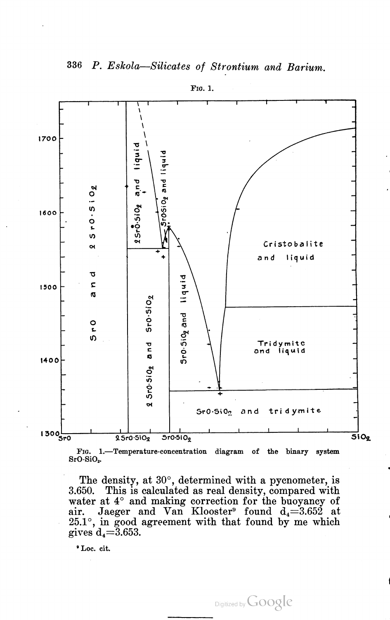

FIG. 1.

FIG. 1.—Temperature-concentration diagram of the binary system SrO-SiOg.

The density, at 30°, determined with a pycnometer, is 3.650. This is calculated as real density, compared with water at  $4^{\circ}$  and making correction for the buoyancy of water at  $\pm$  and making correction for the buoyancy of air. Jaeger and Van Klooster<sup>9</sup> found  $d = 3.652$  at an: backet and van Krooster Tound  $u_4 = 0.052$  at  $25.1^\circ$ , in good agreement with that found by me which gives  $d_4 = 3.653$ .

" Loc. cit.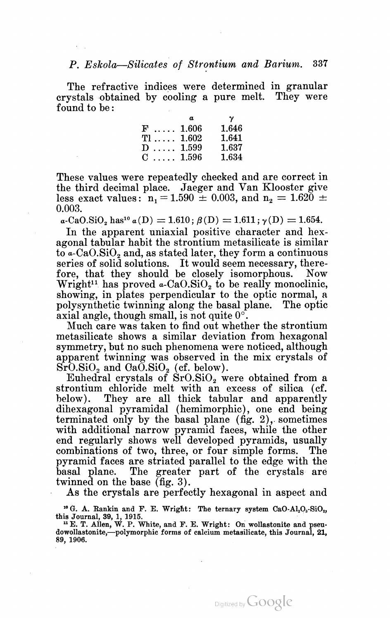The refractive indices were determined in granular crystals obtained by cooling a pure melt. They were found to be:

|                    | a     | γ.    |
|--------------------|-------|-------|
| $\mathbf{F}$ 1.606 |       | 1.646 |
| $T1 \ldots 1.602$  |       | 1.641 |
| $D$                | 1.599 | 1.637 |
| $C$ 1.596          |       | 1.634 |

These values were repeatedly checked and are correct in the third decimal place. Jaeger and Van Klooster give less exact values:  $n_1 = 1.590 \pm 0.003$ , and  $n_2 = 1.620 \pm 0.003$ 0.003.

 $a\text{-CaO.SiO}, \text{has}^{10}$   $a(D) = 1.610$ ;  $\beta(D) = 1.611$ ;  $\gamma(D) = 1.654$ .

In the apparent uniaxial positive character and hex agonal tabular habit the strontium metasilicate is similar to  $a$ -CaO.SiO<sub>2</sub> and, as stated later, they form a continuous series of solid solutions. It would seem necessary, therefore, that they should be closely isomorphous. Now Wright<sup>11</sup> has proved  $\alpha$ -CaO.SiO<sub>2</sub> to be really monoclinic, showing, in plates perpendicular to the optic normal, a polysynthetic twinning along the basal plane. The optic axial angle, though small, is not quite  $0^\circ$ .

Much care was taken to find out whether the strontium metasilicate shows a similar deviation from hexagonal symmetry, but no such phenomena were noticed, although apparent twinning was observed in the mix crystals of SrO.SiO<sub>2</sub> and OaO.SiO<sub>2</sub> (cf. below).<br>Euhedral crystals of SrO.SiO<sub>2</sub> were obtained from a

strontium chloride melt with an excess of silica (cf. below). They are all thick tabular and apparently dihexagonal pyramidal (hemimorphic), one end being terminated only by the basal plane (fig.  $2$ ), sometimes with additional narrow pyramid faces, while the other end regularly shows well developed pyramids, usually combinations of two, three, or four simple forms. The pyramid faces are striated parallel to the edge with the basal plane. The greater part of the crystals are twinned on the base (fig. 3).

As the crystals are perfectly hexagonal in aspect and

<sup>10</sup> G. A. Rankin and F. E. Wright: The ternary system  $CaO-Al<sub>2</sub>O<sub>3</sub>-SiO<sub>2</sub>$ , this Journal, 39, 1, 1915.  $\mu$  E. White, and F. E. Wright: On well attached and pseudostational property.

dowollastonite, - polymorphic forms of calcium metasilicate, this Journal, 21, 89, 1906.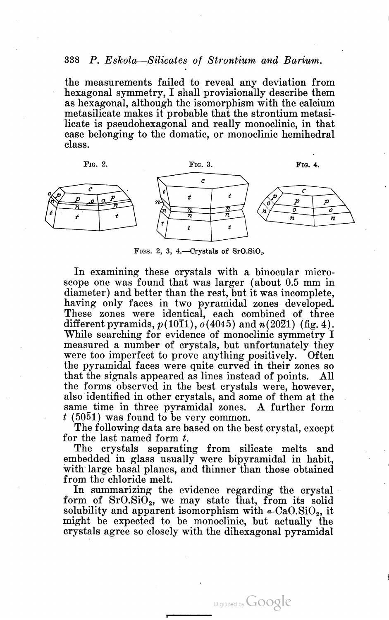the measurements failed to reveal any deviation from hexagonal symmetry, <sup>I</sup> shall provisionally describe them as hexagonal, although the isomorphism with the calcium metasilicate makes it probable that the strontium metasi licate is pseudohexagonal and really monoclinic, in that case belonging to the domatic, or monoclinic hemihedral class.



FIGS. 2, 3, 4.—Crystals of  $SrO.SiO<sub>2</sub>$ .

In examining these crystals with a binocular micro scope one was found that was larger (about 0.5 mm in diameter) and better than the rest, but it was incomplete, having only faces in two pyramidal zones developed. These zones were identical, each combined of three different pyramids,  $p(10I1)$ ,  $o(4045)$  and  $n(2021)$  (fig. 4). While searching for evidence of monoclinic symmetry I measured <sup>a</sup> number of crystals, but unfortunately they were too imperfect to prove anything positively. Often the pyramidal faces were quite curved in their zones so that the signals appeared as lines instead of points. All the forms observed in the best crystals were, however, also'identified in other crystals, and some of them at the same\_ time in three pyramidal zones. A further form  $t$  (5051) was found to be very common.

The following data are based on the best crystal, except for the last named form  $t$ .

The crystals separating from silicate melts and embedded in glass usually were bipyramidal in habit, with large basal planes, and thinner than those obtained from the chloride melt.

In summarizing the evidence regarding the crystal form of  $SrO.SiO<sub>2</sub>$ , we may state that, from its solid solubility and apparent isomorphism with  $\alpha$ -CaO.SiO<sub>2</sub>, it might be expected to be monoclinic, but actually the crystals agree so closely with the dihexagonal pyramidal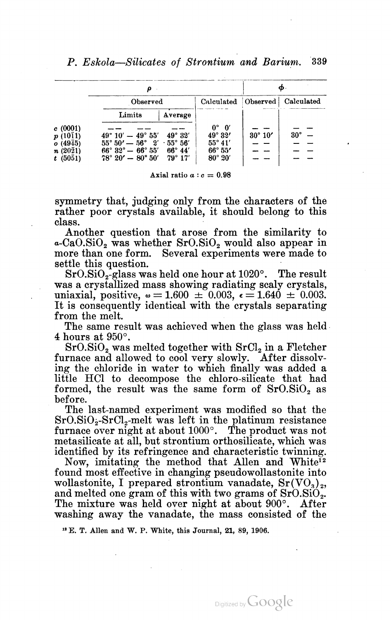|                                               | ρ                                                                                                                          |                                                             | Φ                |              |
|-----------------------------------------------|----------------------------------------------------------------------------------------------------------------------------|-------------------------------------------------------------|------------------|--------------|
|                                               | Observed                                                                                                                   | Calculated                                                  | Observed         | Calculated   |
|                                               | Limits<br>Average                                                                                                          |                                                             |                  |              |
| c(0001)<br>$p(10\bar{1}1)$<br>$o(49\bar{4}5)$ | $49^{\circ}$ 10' $-$ 49 $^{\circ}$ 55'<br>$49^{\circ} 32'$<br>$55^{\circ} 50' - 56^{\circ} 2' \cdot 55^{\circ} 56'$        | 0°<br>$\mathbf{0}'$<br>$49^{\circ} 32'$<br>$55^{\circ}$ 41' | $30^{\circ} 10'$ | $30^{\circ}$ |
| $n(20\bar{2}1)$<br>$t(50\bar{5}1)$            | $66^{\circ} 32^{\circ} - 66^{\circ} 55'$<br>$66^{\circ} 44'$<br>$78^{\circ}$ 20' $-$ 80 $^{\circ}$ 50'<br>$79^{\circ} 17'$ | $66^{\circ} 55'$<br>$80^\circ 20'$                          |                  |              |

Axial ratio  $a : c = 0.98$ 

symmetry that, judging only from the characters of the rather poor crystals available, it should belong to this class.

Another question that arose from the similarity to  $a$ -CaO.SiO<sub>2</sub> was whether SrO.SiO<sub>2</sub> would also appear in more than one form. Several experiments were made to settle this question.

 $SrO.SiO<sub>2</sub>$ -glass was held one hour at  $1020^{\circ}$ . The result was a crystallized mass showing radiating scaly crystals, uniaxial, positive,  $\omega = 1.600 \pm 0.003$ ,  $\epsilon = 1.640 \pm 0.003$ . It is consequently identical with the crystals separating from the melt. The same result was achieved when the glass was held

4 hours at 950°.<br>SrO.SiO<sub>2</sub> was melted together with SrCl<sub>2</sub> in a Fletcher furnace and allowed to cool very slowly. After dissolv ing the chloride in water to which finally was added a little HCl to decompose the chloro-silicate that had formed, the result was the same form of  $SrO.SiO<sub>2</sub>$  as before.

The last-named experiment was modified so that the  $SrO.SiO<sub>2</sub>-SrCl<sub>2</sub>$ -melt was left in the platinum resistance furnace over night at about  $1000^\circ$ . The product was not metasilicate at all, but strontium orthosilicate, which was identified by its refringence and characteristic twinning.

Now, imitating the method that Allen and White<sup>12</sup> found most effective in changing pseudowollastonite into wollastonite, I prepared strontium vanadate,  $Sr(VO<sub>3</sub>)<sub>2</sub>$ , and melted one gram of this with two grams of SrO.SiO<sub>2</sub>. The mixture was held over night at about 900°. After washing away the vanadate, the mass consisted of the

1' E. T. Allen and W. P. White, this Journal, 21, 89, 1906.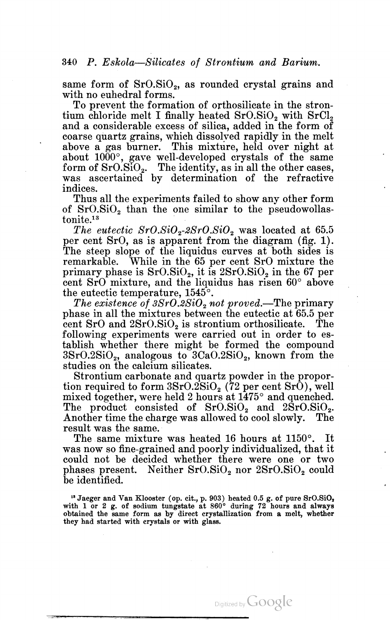same form of  $SrO.SiO<sub>2</sub>$ , as rounded crystal grains and

with no euhedral forms.<br>To prevent the formation of orthosilicate in the stron-<br>tium chloride melt I finally heated  $SrO.SiO<sub>2</sub>$  with  $SrCl<sub>2</sub>$ and a considerable excess of silica, added in the form of coarse quartz grains, which dissolved rapidly in the melt above <sup>a</sup> gas burner. This mixture, held over night at about  $1000^{\circ}$ , gave well-developed crystals of the same form of SrO.SiO<sub>2</sub>. The identity, as in all the other cases, was ascertained by determination of the refractive indices.

Thus all the experiments failed to show any other form of  $SrO.SiO<sub>2</sub>$  than the one similar to the pseudowollas $t$ onite $13$ 

The eutectic  $SrO.SiO<sub>2</sub>-2SrO.SiO<sub>2</sub>$  was located at 65.5 per cent SrC, as is apparent from the diagram (fig. 1). The steep slope of the liquidus curves at both sides is remarkable. While in the 65 per cent SrO mixture the primary phase is  $SrO.SiO<sub>2</sub>$ , it is  $2SrO.SiO<sub>2</sub>$  in the 67 per cent SrO mixture, and the liquidus has risen 60° above the eutectic temperature,  $1545^{\circ}$ .<br>The existence of  $3SrO.2SiO<sub>2</sub>$  not proved.—The primary

phase in all the mixtures between the eutectic at 65.5 per cent SrO and  $2SrO.SiO<sub>2</sub>$  is strontium orthosilicate. The following experiments were carried out in order to es tablish whether there might be formed the compound  $3SrO.2SiO<sub>2</sub>$ , analogous to  $3CaO.2SiO<sub>2</sub>$ , known from the studies on the calcium silicates. Strontium carbonate and quartz powder in the propor

tion required to form  $3SrO.2SiO<sub>2</sub>$  (72 per cent SrO), well mixed together, were held 2 hours at  $1475^{\circ}$  and quenched. The product consisted of  $SrO.SiO<sub>2</sub>$  and  $2SrO.SiO<sub>2</sub>$ .<br>Another time the charge was allowed to cool slowly. The result was the same.

The same mixture was heated 16 hours at 1150°. It was now so fine-grained and poorly individualized, that it could not be decided whether there were one or two phases present. Neither  $SrO.SiO<sub>2</sub>$  nor  $2SrO.SiO<sub>2</sub>$  could be identified.

 $^{13}$  Jaeger and Van Klooster (op. cit., p. 903) heated 0.5 g. of pure SrO.SiO. with 1 or 2 g. of sodium tungstate at 860° during 72 hours and always obtained the same form as by direct crystallization from a melt, whether they had started with crystals or with glass.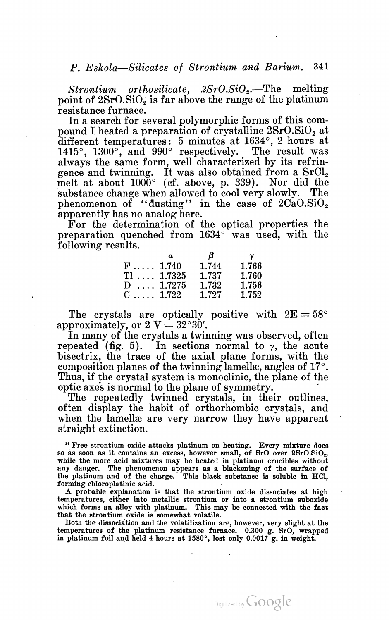$Strontium$  orthosilicate,  $2SrO.SiO<sub>2</sub>$ . The melting point of  $2SrO.SiO<sub>2</sub>$  is far above the range of the platinum

resistance furnace.<br>In a search for several polymorphic forms of this compound I heated a preparation of crystalline  $2SrO.SiO<sub>2</sub>$  at different temperatures: 5 minutes at 1634°, 2 hours at 1415°, 1300°, and 990° respectively. The result was always the same form, well characterized by its refringence and twinning. It was also obtained from a  $SrCl<sub>2</sub>$  melt at about  $1000^{\circ}$  (cf. above, p. 339). Nor did the substance change when allowed to cool very slowly. The phenomenon of "dusting" in the case of  $2CaO.SiO<sub>2</sub>$ apparently has no analog here. For the determination of the optical properties the

preparation quenched from 1634° was used, with the following results.

|                        | $\boldsymbol{a}$ | - 8   | $\gamma$ |
|------------------------|------------------|-------|----------|
| $F \ldots 1.740$       |                  | 1.744 | 1.766    |
| $T1$ 1.7325            |                  | 1.737 | 1.760    |
| $D \ldots 1.7275$      |                  | 1.732 | 1.756    |
| $C_{1}, \ldots, 1.722$ |                  | 1.727 | 1.752    |

The crystals are ontically positive with  $2E = 58^{\circ}$ The crystals are optically<br>approximately or  $2 V = 32^{\circ}30'$ . approximately, or  $2 \text{ V} = 32^{\circ}30'$ .<br>In many of the crystals a twinning was observed, often

repeated (fig. 5). In sections normal to  $\gamma$ , the acute bisectrix, the trace of the axial plane forms, with the composition planes of the twinning lamellae, angles of 17°. Thus, if the crystal system is monoclinic, the plane of the optic axes is normal to the plane of symmetry. '

The repeatedly twinned crystals, in their outlines, often display the habit of orthorhombic crystals, and when the lamella are very narrow they have apparent straight extinction.

<sup>14</sup> Free strontium oxide attacks platinum on heating. Every mixture does so as soon as it contains an excess, however small, of SrO over 2SrO.SiO. while the more acid mixtures may be heated in platinum crucibles without any danger. The phenomenon appears as a blackening of the surface of the platinum and of the charge. This black substance is soluble in HCl, forming chloroplatinic acid.

A probable explanation is that the strontium oxide dissociates at high temperatures, either into metallic strontium or into a strontium suboxide which forms an alloy with platinum. This may be connected with the fact that the strontium oxide is somewhat volatile.

Both the dissociation and the volatilization are, however, very slight at the temperatures of the platinum resistance furnace. 0.300 g. SrO, wrapped in platinum foil and held 4 hours at 1580°, lost only 0.0017 g. in weight.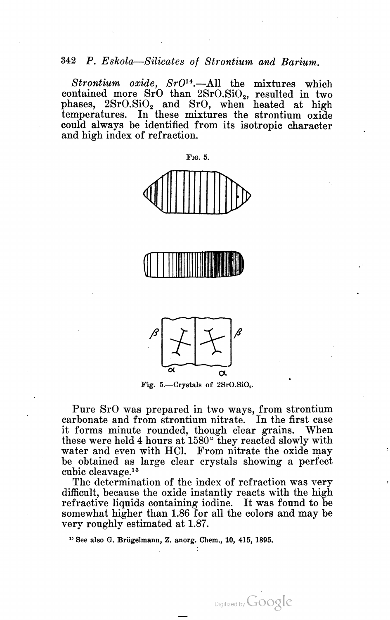Strontium oxide,  $SrO<sup>14</sup>$ . All the mixtures which contained more  $SrO$  than  $2SrO.SiO<sub>2</sub>$ , resulted in two phases,  $2SrO.SiO<sub>2</sub>$  and SrO, when heated at high temperatures. In these mixtures the strontium oxide could always be identified from its isotropic character and high index of refraction.







Fig. 5.—Crystals of 2SrO.SiO<sub>2</sub>.

Pure SrO was prepared in two ways, from strontium carbonate and from strontium nitrate. In the first case it forms minute rounded, though clear grains. When these were held 4 hours at  $1580^{\circ}$  they reacted slowly with water and even with HCl. From nitrate the oxide may be obtained as large clear crystals showing <sup>a</sup> perfect cubic cleavage.15

The determination of the index of refraction was very difficult, because the oxide instantly reacts with the high refractive liquids'containing iodine. It was found to be somewhat higher than 1.86 for all the colors and may be very roughly estimated at 1.87.

Digitized by Google

'5 See also G. Briigelmann, Z. anorg. Chem., 10, 415, 1895.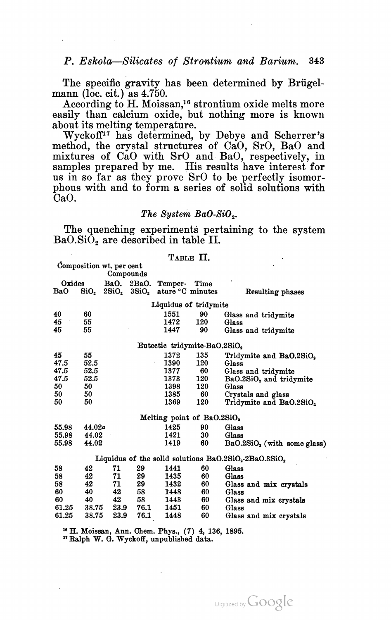The specific gravity has been determined by Brügel-<br>mann (loc. cit.) as 4.750.<br>According to H. Moissan,<sup>16</sup> strontium oxide melts more

easily than calcium oxide, but nothing more is known about its melting temperature.

Wyckoff<sup>17</sup> has determined, by Debye and Scherrer's method, the crystal structures of CaO, SrO, BaO and mixtures of CaO with SrO and BaO, respectively, in samples prepared by me. His results have interest for us in so far as they prove SrO to be perfectly isomor phous with and to form a series of solid solutions with CaO.

# The System BaO-SiO<sub>2</sub>.

The quenching experiments pertaining to the system  $BaO.SiO<sub>2</sub>$  are described in table II.

# TABLE II.

Composition wt. per cent

|                      |        |            | Compounds |                                                                            |      |                                                        |
|----------------------|--------|------------|-----------|----------------------------------------------------------------------------|------|--------------------------------------------------------|
| Oxides<br><b>BaO</b> | SiO,   |            |           | BaO. 2BaO. Temper-<br>2SiO <sub>2</sub> 3SiO <sub>2</sub> ature °C minutes | Time | Resulting phases                                       |
|                      |        |            |           | Liquidus of tridymite                                                      |      |                                                        |
| 40                   | 60     |            |           | 1551                                                                       | 90   | Glass and tridymite                                    |
| 45                   | 55     |            |           | 1472                                                                       | 120  | Glass                                                  |
| 45                   | 55     |            |           | 1447                                                                       | 90   | Glass and tridymite                                    |
|                      |        |            |           | Eutectic tridymite-BaO.2SiO2                                               |      |                                                        |
| 45                   | 55     |            |           | 1372                                                                       | 135  | Tridymite and BaO.2SiO <sub>2</sub>                    |
| 47.5                 | 52.5   |            |           | 1390                                                                       | 120  | Glass                                                  |
| 47.5                 | 52.5   |            |           | 1377                                                                       | 60   | Glass and tridymite                                    |
| 47.5                 | 52.5   |            |           | 1373                                                                       | 120  | BaO.2SiO <sub>2</sub> and tridymite                    |
| 50                   | 50     |            |           | 1398                                                                       | 120  | Glass                                                  |
| 50                   | 50     |            |           | 1385                                                                       | 60   | Crystals and glass                                     |
| 50                   | 50     |            |           | 1369                                                                       | 120  | Tridymite and BaO.2SiO <sub>2</sub>                    |
|                      |        |            |           | Melting point of BaO.2SiO <sub>2</sub>                                     |      |                                                        |
| 55.98                | 44.02a |            |           | 1425                                                                       | 90   | Glass                                                  |
| 55.98                | 44.02  |            |           | 1421                                                                       | 30   | Glass                                                  |
| 55.98                | 44.02  |            |           | 1419                                                                       | 60   | $BaO.2SiO2$ (with some glass)                          |
|                      |        |            |           |                                                                            |      | Liquidus of the solid solutions $BaO.2SiO2·2BaO.3SiO2$ |
| 58                   | 42     | 71         | 29        | 1441                                                                       | 60   | Glass                                                  |
| 58                   | 42     | 71         | 29        | 1435                                                                       | 60   | Glass                                                  |
| 58                   | 42     | 71         | 29        | 1432                                                                       | 60   | Glass and mix crystals                                 |
| 60                   | 40     | 42         | 58        | 1448                                                                       | 60   | Glass                                                  |
| 60                   | 40     | 42         | 58        | 1443                                                                       | 60   | Glass and mix crystals                                 |
| 61.25                |        | 38.75 23.9 | 76.1      | 1451                                                                       | 60   | Glass                                                  |
| 61.25                | 38.75  | 23.9       | 76.1      | 1448                                                                       | 60   | Glass and mix crystals                                 |
|                      |        |            |           |                                                                            |      |                                                        |

<sup>16</sup> H. Moissan, Ann. Chem. Phys., (7) 4, 136, 1895. 1" Ralph W. G. Wyckofi, unpublished data.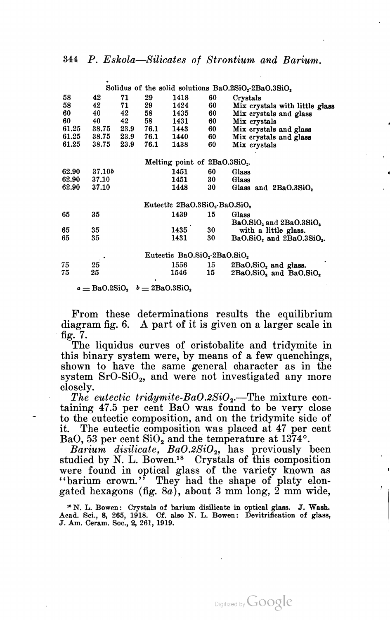|       |        |      |                                  |                                                       |                | Solidus of the solid solutions BaO.2SiO <sub>2</sub> -2BaO.3SiO <sub>2</sub> |
|-------|--------|------|----------------------------------|-------------------------------------------------------|----------------|------------------------------------------------------------------------------|
| 58    | 42     | 71   | 29                               | 1418                                                  | 60<br>Crystals |                                                                              |
| 58    | 42     | 71   | 29                               | 1424                                                  | 60             | Mix crystals with little glass                                               |
| 60    | 40     | 42   | 58                               | 1435                                                  | 60             | Mix crystals and glass                                                       |
| 60    | 40     | 42   | 58                               | 1431                                                  | 60             | Mix crystals                                                                 |
| 61.25 | 38.75  | 23.9 | 76.1                             | 1443                                                  | 60             | Mix crystals and glass                                                       |
| 61.25 | 38.75  | 23.9 | 76.1                             | 1440                                                  | 60             | Mix crystals and glass                                                       |
| 61.25 | 38.75  | 23.9 | 76.1                             | 1438                                                  | 60             | Mix crystals                                                                 |
|       |        |      |                                  |                                                       |                |                                                                              |
|       |        |      |                                  | Melting point of 2BaO.3SiO <sub>2</sub> .             |                |                                                                              |
| 62.90 | 37.10b |      |                                  | 1451                                                  | 60<br>Glass    |                                                                              |
| 62.90 | 37.10  |      |                                  | 1451                                                  | Glass<br>30    |                                                                              |
| 62.90 | 37.10  |      |                                  | 1448                                                  | 30             | Glass and 2BaO.3SiO.                                                         |
|       |        |      |                                  |                                                       |                |                                                                              |
|       |        |      |                                  | Eutectic 2BaO.3SiO <sub>2</sub> -BaO.SiO <sub>2</sub> |                |                                                                              |
| 65    | 35     |      |                                  | 1439                                                  | Glass<br>15    |                                                                              |
|       |        |      |                                  |                                                       |                | $BaO.SiO2$ and $2BaO.3SiO2$                                                  |
| 65    | 35     |      |                                  | 1435                                                  | 30             | with a little glass.                                                         |
| 65    | 35     |      |                                  | 1431                                                  | 30             | BaO.SiO, and 2BaO.3SiO                                                       |
|       |        |      |                                  |                                                       |                |                                                                              |
|       |        |      |                                  | Eutectic BaO.SiO.-2BaO.SiO.                           |                |                                                                              |
| 75    | 25     |      |                                  | 1556                                                  | 15             | 2BaO.SiO <sub>2</sub> and glass.                                             |
| 75    | 25     |      |                                  | 1546                                                  | 15             | $2BaO.SiO2$ and $BaO.SiO2$                                                   |
|       |        |      |                                  |                                                       |                |                                                                              |
|       |        |      | $a = BaO.2SiO2$ $b = 2BaO.3SiO2$ |                                                       |                |                                                                              |

From these determinations results the equilibrium diagram fig. 6. <sup>A</sup> part of it is given on <sup>a</sup> larger scale in ' fig. 7. The liquidus curves of cristobalite and tridymite in

this binary system were, by means of a few quenchings, shown to have the same general character as in the system  $SrO-SiO<sub>2</sub>$ , and were not investigated any more closely.<br>The eutectic tridymite-BaO.2SiO<sub>2</sub>.—The mixture con-

taining 47.5 per cent BaO was found to be very close to the eutectic composition, and on the tridymite side of it. The eutectic composition was placed at 47 per cent BaO, 53 per cent  $\text{SiO}_2$  and the temperature at 1374°.

 $Barium$  disilicate,  $BaO.2SiO<sub>2</sub>$ , has previously been studied by N. L. Bowen.<sup>18</sup> Crystals of this composition were found in optical glass of the variety known as "barium crown." They had the shape of platy elongated hexagons (fig. 8a), about 3 mm long,  $2 \text{ mm}$  wide,

<sup>16</sup> N. L. Bowen: Crystals of barium disilicate in optical glass. J. Wash. Acad. Sci., 8, 265, 1918. Cf. also N. L. Bowen: Devitrification of glass, J. Am. Ceram. Soc., 2, 261, 1919. ï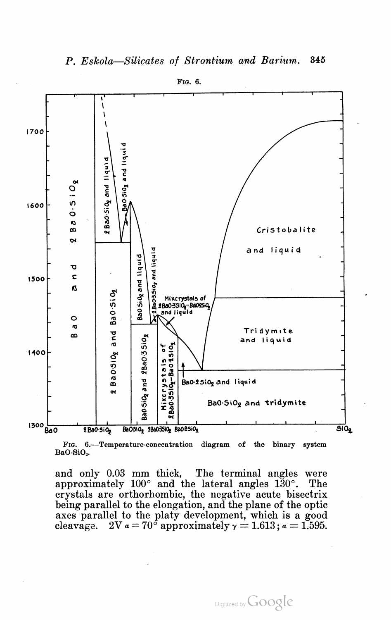

FIG. 6.—-Temperature-concentration diagram of the binary system BaO-SiOz.

and only 0.03 mm thick, The terminal angles were approximately 100° and the lateral angles 130°. The crystals are orthorhombic, the negative acute bisectrix being parallel to the elongation, and the plane of the optic axes parallel to the platy development, which is a good cleavage.  $2V a = 70^{\circ}$  approximately  $\gamma = 1.613$ ;  $a = 1.595$ .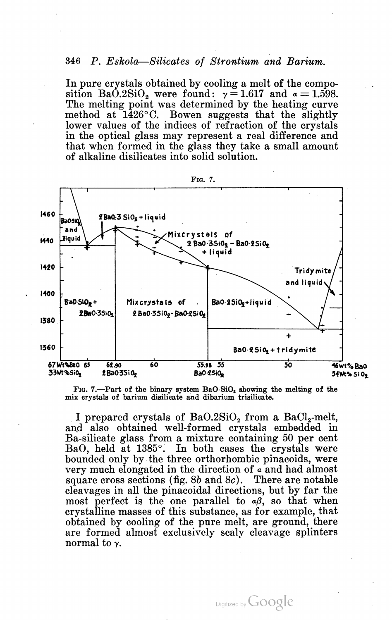In pure crystals obtained by cooling a melt of the compo sition BaO.2SiO<sub>2</sub> were found:  $\gamma = 1.617$  and  $\alpha = 1.598$ . The melting point was determined by the heating curve method at  $1426^{\circ}$ C. Bowen suggests that the slightly lower values of the indices of refraction of the crystals in the optical glass may represent a real difference and that when formed in the glass they take a small amount of alkaline disilicates into solid solution.



FIG. 7.--Part of the binary system BaO-SiO<sub>2</sub> showing the melting of the mix crystals of barium disilicate and dibarium trisilicate.

I prepared crystals of BaO.2SiO<sub>2</sub> from a BaCl<sub>2</sub>-melt, and also obtained well-formed crystals embedded in Ba-silicate glass from a mixture containing 50 per cent BaO, held at 1385°. In both cases the crystals were bounded only by the three orthorhombic pinacoids, were very much elongated in the direction of a and had almost square cross sections (fig.  $8b$  and  $8c$ ). There are notable cleavages in all the pinacoidal directions, but by far the most perfect is the one parallel to  $\alpha\beta$ , so that when crystalline masses of this substance, as for example, that obtained by cooling of the pure melt, are ground, there are formed almost exclusively scaly cleavage splinters normal to y.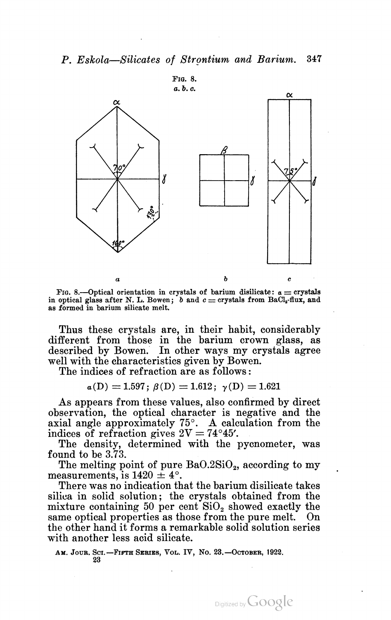

FIG. 8.—Optical orientation in crystals of barium disilicate:  $a =$  crystals FIG. 8.—Optical orientation in crystals of barium disilicate:  $a = c$  crystals in optical glass after N. L. Bowen; b and  $c = c$ rystals from BaCl<sub>2</sub>-flux, and in optical glass after N. L. Bowen; b and  $c =$  crystals from BaCl<sub>2</sub>-flux, and as formed in barium silicate melt.

Thus these crystals are, in their habit, considerably different from those in the barium crown glass, as described by Bowen. In other ways my crystals agree well with the characteristics given by Bowen.

The indices of refraction are as follows:

 $a(D) = 1.597$ ;  $\beta(D) = 1.612$ ;  $\gamma(D) = 1.621$ 

As appears from these values, also confirmed by direct observation, the optical character is negative and the axial angle approximately 75°. A calculation from the indices of refraction gives  $2V = 74^{\circ}45'$ .

The density, determined with the pycnometer, was found to be 3.73.<br>The melting point of pure  $BaO.2SiO<sub>2</sub>$ , according to my

measurements, is  $1420 \pm 4^{\circ}$ .<br>There was no indication that the barium disilicate takes

silica in solid solution; the crystals obtained from the mixture containing 50 per cent  $SiO<sub>2</sub>$  showed exactly the same optical properties as those from the pure melt. On the other hand it forms a remarkable solid solution series with another less acid silicate.

AM. JOUR. SCI.<sup>-</sup>FIFTH SERIES, VOL. IV, No. 23.-OCTOBER, 1922. 23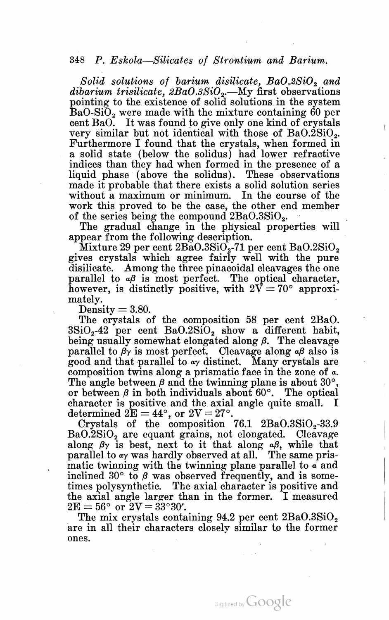Solid solutions of barium disilicate,  $BaO.2SiO<sub>2</sub>$  and dibarium trisilicate,  $2BaO.3SiO<sub>2</sub>$ .—My first observations pointing to the existence of solid solutions in the system BaO-SiO<sub>2</sub> were made with the mixture containing 60 per cent BaO. It was found to give only one kind of crystals very similar but not identical with those of BaO.2SiO. Furthermore I found that the crystals, when formed in a solid state (below the solidus) had lower refractive indices than they had when formed in the presence of a liquid phase (above the solidus). These observations made it probable that there exists <sup>a</sup> solid solution series without a maximum or minimum. In the course of the without a maximum of minimum. The course of the work this proved to be the case, the other end member of the series being the compound  $2BaO.3SiO<sub>2</sub>$ .<br>The gradual change in the physical properties will

The gradual change in the physical properties will<br>appear from the following description.<br>Mixture 29 per cent  $2BaO.3SiO_2-71$  per cent  $BaO.2SiO_2$ 

gives crystals which agree fairly well with the pure disilicate. Among the three pinacoidal cleavages the one parallel to  $\alpha\beta$  is most perfect. The optical character. however, is distinctly positive, with  $2\bar{V}=70^{\circ}$  approxi- $\frac{\text{mately.}}{\text{Density}} = 3.80.$ 

The crystals of the composition 58 per cent 2BaO.  $3\text{SiO}_2$ -42 per cent  $BaO.2\text{SiO}_2$  show a different habit, being usually somewhat elongated along  $\beta$ . The cleavage parallel to  $\beta$ y is most perfect. Cleavage along  $\alpha\beta$  also is good and that parallel to  $\alpha\gamma$  distinct. Many crystals are composition twins along a prismatic face in the zone of  $\alpha$ . The angle between  $\beta$  and the twinning plane is about 30 $^{\circ}$ . or between  $\beta$  in both individuals about 60 $^{\circ}$ . The optical character is positive and the axial angle quite small. I<br>determined  $2E = 44^{\circ}$  or  $2V = 27^{\circ}$ 

determined  $2E = 44^{\circ}$ , or  $2V = 27^{\circ}$ .<br>Crystals of the composition 76.1 2BaO.3SiO<sub>s</sub>-33.9 BaO.2SiO2 are equant grains, not elongated. Cleavage along  $\beta$ <sup>y</sup> is best, next to it that along  $\alpha$  $\beta$ , while that parallel to  $a<sub>y</sub>$  was hardly observed at all. The same prismatic twinning with the twinning plane parallel to a and inclined 30 $\degree$  to  $\beta$  was observed frequently, and is sometimes polysynthetic. The axial character is positive and the axial angle larger than in the former. I measured

 $2E = 56^{\circ}$  or  $2V = 33^{\circ}30'$ .<br>The mix crystals containing 94.2 per cent  $2BaO.3SiO<sub>2</sub>$ are in all their characters closely similar to the former ones.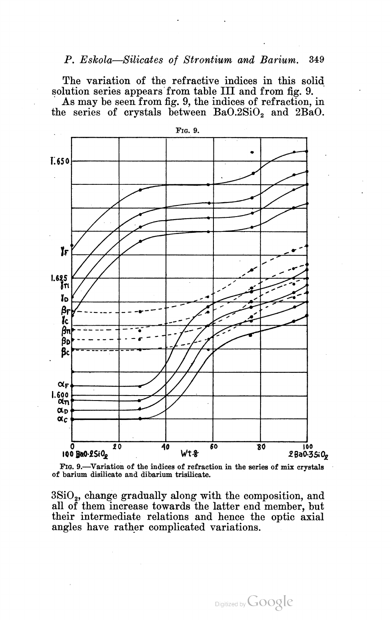The variation of the refractive indices in this solid solution series appears from table III and from fig. 9.

As may be seen from fig. 9, the indices of refraction, in the series of crystals between  $BaO.2SiO<sub>2</sub>$  and  $2BaO$ .





3SiO2, change gradually along with the composition, and all of them increase towards the latter end member, but their intermediate relations and hence the optic axial angles have rather complicated variations.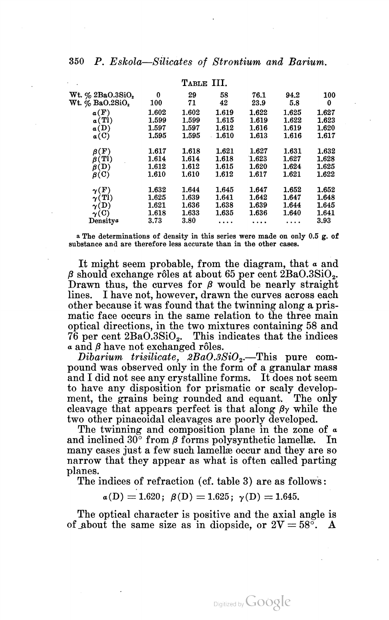|                                 |       | TABLE III. |       |       |       |       |
|---------------------------------|-------|------------|-------|-------|-------|-------|
| Wt. $\%$ 2BaO.3SiO <sub>2</sub> | 0     | 29         | 58    | 76.1  | 94.2  | 100   |
| Wt. $\%$ Ba $0.2\mathrm{SiO}_2$ | 100   | 71         | 42    | 23.9  | 5.8   | 0     |
| a(F)                            | 1.602 | 1.602      | 1.619 | 1.622 | 1.625 | 1.627 |
| a(Tl)                           | 1.599 | 1.599      | 1.615 | 1.619 | 1.622 | 1.623 |
| a(D)                            | 1.597 | 1.597      | 1.612 | 1.616 | 1.619 | 1.620 |
| $\alpha$ (C)                    | 1.595 | 1.595      | 1.610 | 1.613 | 1.616 | 1.617 |
| $\mathbf{F})$<br>ß١             | 1.617 | 1.618      | 1.621 | 1.627 | 1.631 | 1.632 |
| $\beta$ (TI)                    | 1.614 | 1.614      | 1.618 | 1.623 | 1.627 | 1.628 |
| $\mathfrak{g}(\mathrm{D})$      | 1.612 | 1.612      | 1.615 | 1.620 | 1.624 | 1.625 |
| $\beta$ (C)                     | 1.610 | 1.610      | 1.612 | 1.617 | 1.621 | 1.622 |
| $\gamma(F)$                     | 1.632 | 1.644      | 1.645 | 1.647 | 1.652 | 1.652 |
| $\gamma(Tl)$                    | 1.625 | 1.639      | 1.641 | 1.642 | 1.647 | 1.648 |
| $\gamma(D)$                     | 1.621 | 1.636      | 1.638 | 1.639 | 1.644 | 1.645 |
| $\gamma$ (C)                    | 1.618 | 1.633      | 1.635 | 1.636 | 1.640 | 1.641 |
| Densitya                        | 3.73  | 3.80       |       |       |       | 3.93  |

a The determinations of density in this series were made on only 0.5 g. of substance and are therefore less accurate than in the other cases.

It might seem probable, from the diagram, that  $\alpha$  and  $\beta$  should exchange rôles at about 65 per cent  $2BaO.3SiO<sub>2</sub>$ . Drawn thus, the curves for  $\beta$  would be nearly straight lines. I have not, however, drawn the curves across each other because it was found that the twinning along a pris matic face occurs in the same relation to the three main optical directions, in the two mixtures containing 58 and  $76$  per cent  $2BaO.3SiO<sub>2</sub>$ . This indicates that the indices  $\alpha$  and  $\beta$  have not exchanged rôles.

Dibarium trisilicate,  $2BaO.3SiO<sub>2</sub>$ . This pure compound was observed only in the form of a granular mass and I did not see any crystalline forms. It does not seem to have any disposition for prismatic or scaly develop ment, the grains being» rounded and equant. The only cleavage that appears perfect is that along  $\beta\gamma$  while the two other pinacoidal cleavages are poorly developed.

The twinning and composition plane in the zone of  $\alpha$ and inclined 30 $\degree$  from  $\beta$  forms polysynthetic lamellae. In many cases just a few such lamellae occur and they are so narrow that they appear as what is often called parting planes.

The indices of refraction (cf. table 3) are as follows:

 $a(D) = 1.620; \ \beta(D) = 1.625; \ \gamma(D) = 1.645.$ 

The optical character is positive and the axial angle is of about the same size as in diopside, or  $2V = 58^{\circ}$ . A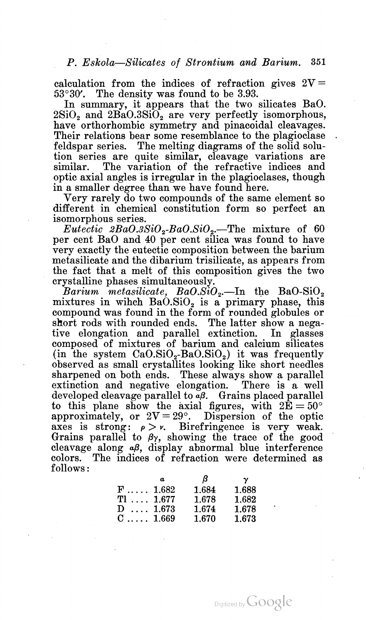calculation from the indices of refraction gives  $2V=$ 

53°30'. The density was found to be 3.93. In summary, it appears that the two silicates BaO.  $2SiO<sub>2</sub>$  and  $2BaO.3SiO<sub>2</sub>$  are very perfectly isomorphous, have orthorhombic symmetry and pinacoidal cleavages. Their relations bear some resemblance to the plagioclase feldspar series. The melting diagrams of the solid solu tion series are quite similar, cleavage variations are similar. The variation of the refractive indices and optic axial angles is irregular in the plagioclases, though in <sup>a</sup> smaller degree than we have found here. Very rarely do two compounds of the same element so

different in chemical constitution form so perfect an isomorphous series.

*Eutectic*  $2BaO.3SiO<sub>2</sub>-BaO.SiO<sub>2</sub>$ —The mixture of 60 per cent BaO and 40 per cent silica was found to have very exactly the eutectic composition between the barium metasilicate and the dibarium trisilicate, as appears from the fact that a melt of this composition gives the two

crystalline phases simultaneously.<br>Barium metasilicate,  $BaO.SiO<sub>2</sub>$ —In the BaO-SiO<sub>2</sub> mixtures in wihch  $Ba\ddot{O}.SiO_2$  is a primary phase, this compound was found in the form of rounded globules or short rods with rounded ends. The latter show a nega tive elongation and parallel extinction. In glasses composed of mixtures of barium and calcium silicates (in the system  $CaO.SiO<sub>2</sub>-BaO.SiO<sub>2</sub>$ ) it was frequently observed as small crystallites looking like short needles sharpened on both ends. These always show a parallel extinction and negative elongation. There is a well developed cleavage parallel to  $\alpha\beta$ . Grains placed parallel to this plane show the axial figures, with  $2E = 50^{\circ}$ approximately, or  $2V=29^\circ$ . Dispersion of the optic axes is strong:  $\rho > \nu$ . Birefringence is very weak. Grains parallel to  $\beta$ y, showing the trace of the good cleavage along  $\alpha\beta$ , display abnormal blue interference colors. The indices of refraction were determined as follows:

|                  | $\boldsymbol{a}$ | $\beta$ | $\gamma$ |
|------------------|------------------|---------|----------|
| $F \ldots 1.682$ |                  | 1.684   | 1.688    |
| $T1$ 1.677       |                  | 1.678   | 1.682    |
| $D \dots 1.673$  |                  | 1.674   | 1.678    |
| $C$ 1.669        |                  | 1.670   | 1.673    |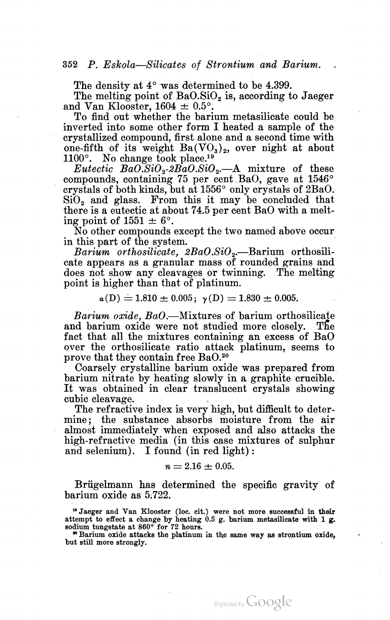The density at  $4^{\circ}$  was determined to be 4.399.<br>The melting point of BaO.SiO, is, according to Jaeger and Van Klooster,  $1604 \pm 0.5^{\circ}$ .

To find out whether the barium metasilicate could be inverted into some other form I heated a sample of the crystallized compound, first alone and a second time with one-fifth of its weight  $Ba(VO<sub>3</sub>)<sub>2</sub>$ , over night at about 1100 $^{\circ}$ . No change took place.<sup>19</sup>

*Eutectic BaO.SiO<sub>2</sub>-2BaO.SiO<sub>2</sub>.*—A mixture of these compounds, containing 75 per cent BaO, gave at 1546° crystals of both kinds, but at  $1556^{\circ}$  only crystals of  $2BaO$ .  $SiO<sub>2</sub>$  and glass. From this it may be concluded that there is a eutectic at about 74.5 per cent BaO with a melt ing point of  $1551 \pm 6^{\circ}$ .

No other compounds except the two named above occur in this part of the system.

Barium orthosilicate,  $2BaO.SiO<sub>2</sub>$ . Barium orthosilicate appears as a granular mass of rounded grains and does not show any cleavages or twinning. The melting point is higher than that of platinum.

 $a(D) = 1.810 \pm 0.005; \gamma(D) = 1.830 \pm 0.005.$ 

*Barium oxide, BaO*.—Mixtures of barium orthosilicate and barium oxide were not studied more closely. The fact that all the mixtures containing an excess of BaO over the orthosilicate ratio attack platinum, seems to prove that they contain free BaO.<sup>20</sup>

Coarsely crystalline barium oxide was prepared from barium nitrate by heating slowly in <sup>a</sup> graphite crucible. It was obtained in clear translucent crystals showing cubic cleavage. .

The refractive index is very high, but difficult to determine; the substance absorbs moisture from the air almost immediately when exposed and also attacks the high-refractive media (in this case mixtures of sulphur and selenium). I found (in red light) :

$$
n = 2.16 \pm 0.05.
$$

Briigelmann has determined the specific gravity of barium oxide as 5.722.

1' Jaeger and Van Klooster (loc. cit.) were not more successful in their attempt to effect a change by heating  $0.5$  g. barium metasilicate with 1 g. sodium tungstate at  $860^{\circ}$  for 72 hours.<br>"Barium oxide attacks the platinum in the same way as strontium oxide.

<sup>30</sup> Barium oxide attacks the platinum in the same way as strontium oxide, but still more strongly.

Digitized by **GOOgle**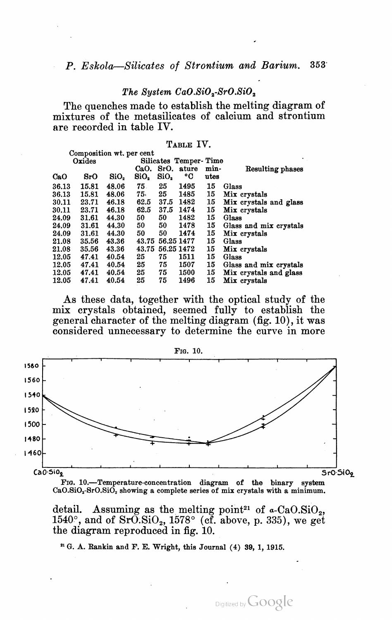# The System  $CaO.SiO<sub>2</sub>-SrO.SiO<sub>2</sub>$

The quenches made to establish the melting diagram of mixtures of the metasilicates of calcium and strontium are recorded in table IV.

# TABLE IV.

|       | Composition wt. per cent |                  |       |            |                       |      |                        |
|-------|--------------------------|------------------|-------|------------|-----------------------|------|------------------------|
|       | Oxides                   |                  |       |            | Silicates Temper-Time |      |                        |
|       |                          |                  | CaO.  | SrO.       | ature                 | min- | Resulting phases       |
| CaO   | 8r0                      | SiO <sub>2</sub> | SiO.  | SiO,       | ۰c                    | utes |                        |
| 36.13 | 15.81                    | 48.06            | 75.   | 25         | 1495                  | 15   | Glass                  |
| 36.13 | 15.81                    | 48.06            | 75.   | 25         | 1485                  | 15   | Mix crystals           |
| 30.11 | 23.71                    | 46.18            | 62.5  | 37.5       | 1482                  | 15   | Mix crystals and glass |
| 30.11 | 23.71                    | 46.18            | 62.5  | 37.5       | 1474                  | 15   | Mix crystals           |
| 24.09 | 31.61                    | 44.30            | 50    | 50         | 1482                  | 15   | Glass                  |
| 24.09 | 31.61                    | 44.30            | 50    | 50         | 1478                  | 15   | Glass and mix crystals |
| 24.09 | 31.61                    | 44.30            | 50    | 50         | 1474                  | 15   | Mix crystals           |
| 21.08 | 35.56                    | 43.36            | 43.75 | 56.25 1477 |                       | 15   | Glass                  |
| 21.08 | 35.56                    | 43.36            | 43.75 | 56.25 1472 |                       | 15   | Mix crystals           |
| 12.05 | 47.41                    | 40.54            | 25    | 75         | 1511                  | 15   | Glass                  |
| 12.05 | 47.41                    | 40.54            | 25    | 75         | 1507                  | 15   | Glass and mix crystals |
| 12.05 | 47.41                    | 40.54            | 25    | 75         | 1500                  | 15   | Mix crystals and glass |
| 12.05 | 47.41                    | 40.54            | 25    | 75         | 1496                  | 15   | Mix crystals           |

As these data, together with the optical study of the mix crystals obtained, seemed fully to establish the general character of the melting diagram (fig. 10), it was considered unnecessary to determine the curve in more



FIG. 10.—Temperature-concentration diagram of the binary system CaO.SiO<sub>2</sub>-SrO.SiO<sub>2</sub> showing a complete series of mix crystals with a minimum.

detail. Assuming as the melting point<sup>21</sup> of  $a$ -CaO.SiO<sub>2</sub>,  $1540^\circ$ , and of SrO.SiO.,  $1578^\circ$  (cf. above, p. 335), we get the diagram reproduced in fig. 10.

Digitized by Google

'1 G. A. Rankin and F. E. Wright, this Journal (4) 39, 1, 1915.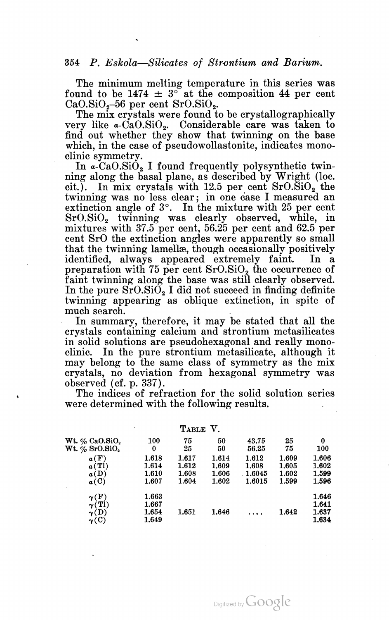The minimum melting temperature in this series was found to be  $1474 \pm 3^{\circ}$  at the composition 44 per cent CaO.SiO<sub>2</sub>–56 per cent SrO.SiO<sub>2</sub>.<br>The mix crystals were found to be crystallographically

very like  $a\text{-}CaO.SiO<sub>2</sub>$ . Considerable care was taken to find out whether they show that twinning on the base which, in the case of pseudowollastonite, indicates mono-

clinic symmetry.<br>In  $\alpha$ -CaO.SiO<sub>2</sub> I found frequently polysynthetic twinning along the basal plane, as described by Wright (100. cit.). In mix crystals with 12.5 per cent  $SrO.\overline{SiO}_2$  the twinning was no less clear; in one case I measured an extinction angle of  $3^\circ$ . In the mixture with 25 per cent  $SrO.SiO<sub>2</sub>$  twinning was clearly observed, while, in mixtures with 37.5 per cent, 56.25 per cent and 62.5 per cent SrO the extinction angles were apparently so small that the twinning lamellae, though occasionally positively identified, always appeared extremely faint. In a preparation with 75 per cent  $SrO.SiO<sub>2</sub>$  the occurrence of faint twinning along the base was still clearly observed. In the pure  $SrO.SiO<sub>2</sub>$  I did not succeed in finding definite twinning appearing as oblique extinction, in spite of much search. .

In summary, therefore, it may be stated that all the crystals containing calcium and strontium metasilicates in solid solutions are pseudohexagonal and really mono clinic. In the pure strontium metasilicate, although it may belong to the same class of symmetry as the mix crystals, no deviation from hexagonal symmetry was observed (of. p. 337). The indices of refraction for the solid solution series

were determined with the following results.

|                                                            |                                  | TABLE | V.    |         |       |                                  |
|------------------------------------------------------------|----------------------------------|-------|-------|---------|-------|----------------------------------|
| Wt. % CaO.SiO,                                             | 100                              | 75    | 50    | 43.75   | 25    | 0                                |
| $Wt.$ % SrO.SiO,                                           | 0                                | 25    | 50    | 56.25   | 75    | 100                              |
| a(F)                                                       | 1.618                            | 1.617 | 1.614 | 1.612   | 1.609 | 1.606                            |
| $\alpha(T)$                                                | 1.614                            | 1.612 | 1.609 | 1.608   | 1.605 | 1.602                            |
| a(D)                                                       | 1.610                            | 1.608 | 1.606 | .1.6045 | 1.602 | 1.599                            |
| $\alpha$ (C)                                               | 1.607                            | 1.604 | 1.602 | 1.6015  | 1.599 | 1.596                            |
| $\gamma(F)$<br>$\gamma(Tl)$<br>$\gamma(D)$<br>$\gamma$ (C) | 1.663<br>1.667<br>1.654<br>1.649 | 1.651 | 1.646 |         | 1.642 | 1.646<br>1.641<br>1.637<br>1.634 |
|                                                            |                                  |       |       |         |       |                                  |

TABLE V.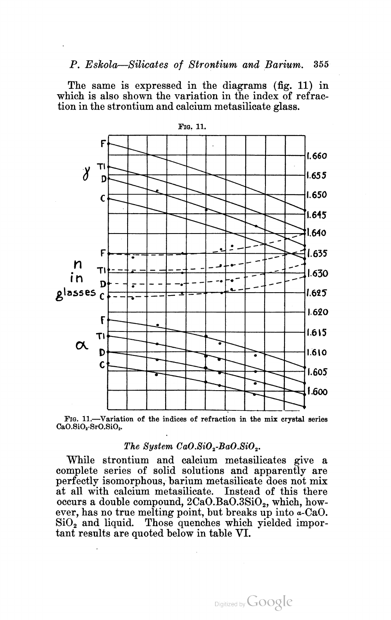The same is expressed in the diagrams (fig. 11) in which is also shown the variation in the index of refraction in the strontium and calcium metasilicate glass.





# The System  $CaO.SiO<sub>2</sub>-BaO.SiO<sub>2</sub>$ .

While strontium and calcium metasilicates give a complete series of solid solutions and apparently are perfectly isomorphous, barium metasilicate does not mix at all with calcium metasilicate. Instead of this there occurs a double compound,  $2CaO.BaO.3SiO<sub>2</sub>$ , which, however, has no true melting point, but breaks up into a-CaO.  $\mathrm{SiO}_2$  and liquid. Those quenches which yielded important results are quoted below in table VI.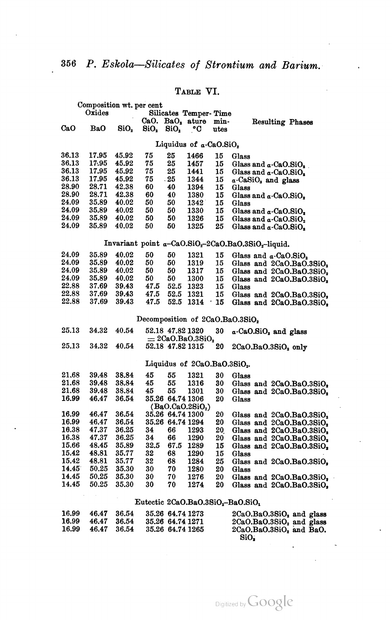# TABLE VI.

|       | Composition wt. per cent |                  |                  |                  |                                          |               |                                                                             |
|-------|--------------------------|------------------|------------------|------------------|------------------------------------------|---------------|-----------------------------------------------------------------------------|
|       | Oxides                   |                  |                  |                  | Silicates Temper-Time                    |               |                                                                             |
|       |                          |                  |                  |                  | CaO. $BaO2$ ature                        | min-          | Resulting Phases                                                            |
| CaO   | BaO                      | SiO <sub>2</sub> | SiO <sub>2</sub> | SiO <sub>2</sub> | ∘c                                       | utes          |                                                                             |
|       |                          |                  |                  |                  |                                          |               |                                                                             |
|       |                          |                  |                  |                  | Liquidus of a-CaO.SiO2                   |               |                                                                             |
| 36.13 | 17.95                    | 45.92            | 75               | 25               | 1466                                     | 15            | Glass                                                                       |
| 36.13 | 17.95                    | 45.92            | 75               | 25               | 1457                                     | 15            | Glass and $\alpha$ -CaO.SiO,                                                |
| 36.13 | 17.95                    | 45.92            | 75               | 25               | 1441                                     | 15            | Glass and $\alpha$ -CaO.SiO <sub>2</sub>                                    |
| 36.13 | 17.95                    | 45.92            | 75               | .25              | 1344                                     | 15            | a-CaSiO <sub>s</sub> and glass                                              |
| 28.90 | 28.71                    | 42.38            | 60               | 40               | 1394                                     | 15            | Glass                                                                       |
| 28.90 | 28.71                    | 42.38            | 60               | 40               | 1380                                     | 15            | Glass and $\alpha$ -CaO.SiO <sub>2</sub>                                    |
| 24.09 | 35.89                    | 40.02            | 50               | 50               | 1342                                     | 15            | Glass                                                                       |
| 24.09 | 35.89                    | 40.02            | 50               | 50               | 1330                                     | 15            | Glass and $\alpha$ -CaO.SiO <sub>2</sub>                                    |
| 24.09 | 35.89                    | 40.02            | 50               | 50               | 1326                                     | 15            | Glass and $\alpha$ -CaO.SiO <sub>2</sub>                                    |
| 24.09 | 35.89                    | 40.02            | 50               | 50               | 1325                                     | 25            | Glass and $\alpha$ -CaO.SiO,                                                |
|       |                          |                  |                  |                  |                                          |               |                                                                             |
|       |                          |                  |                  |                  |                                          |               | Invariant point a-CaO.SiO <sub>2</sub> -2CaO.BaO.3SiO <sub>2</sub> -liquid. |
| 24.09 | 35.89                    | 40.02            | 50               | 50               | 1321                                     | 15            | Glass and $\alpha$ -CaO.SiO <sub>2</sub>                                    |
| 24.09 | 35.89                    | 40.02            | 50               | 50               | 1319                                     | 15            | Glass and 2CaO.BaO.3SiO <sub>2</sub>                                        |
| 24.09 | 35.89                    | 40.02            | 50               | 50               | 1317                                     | 15            | Glass and 2CaO.BaO.3SiO,                                                    |
| 24.09 | 35.89                    | 40.02            | 50               | 50               | 1300                                     | 15            |                                                                             |
| 22.88 | 37.69                    | 39.43            | 47.5             | 52.5             | 1323                                     | 15            | Glass and 2CaO.BaO.3SiO.<br>Glass                                           |
| 22.88 | 37.69                    | 39.43            | 47.5             | 52.5             | 1321                                     | 15            |                                                                             |
| 22.88 | 37.69                    | 39.43            | 47.5             | 52.5             | 1314                                     |               | Glass and 2CaO.BaO.3SiO,                                                    |
|       |                          |                  |                  |                  |                                          | 15<br>$\cdot$ | Glass and 2CaO.BaO.3SiO,                                                    |
|       |                          |                  |                  |                  |                                          |               | Decomposition of 2CaO.BaO.3SiO2                                             |
| 25.13 | 34.32                    | 40.54            |                  | 52.18 47.82 1320 |                                          | 30            | a-CaO.SiO <sub>2</sub> and glass                                            |
|       |                          |                  |                  |                  | $= 2$ CaO.BaO.3SiO,                      |               |                                                                             |
| 25.13 | 34.32                    | 40.54            |                  | 52.18 47.82 1315 |                                          | 20            | $2CaO.BaO.3SiO2$ only                                                       |
|       |                          |                  |                  |                  |                                          |               |                                                                             |
|       |                          |                  |                  |                  | Liquidus of 2CaO.BaO.3SiO <sub>2</sub> . |               |                                                                             |
| 21,68 | 39.48                    | 38.84            | 45               | 55               | 1321                                     | 30            | Glass                                                                       |
| 21.68 | 39.48                    | 38.84            | 45               | 55               | 1316                                     | 30            | Glass and 2CaO.BaO.3SiO,                                                    |
| 21.68 | 39.48                    | 38.84            | 45               | 55               | 1301                                     | 30            | Glass and $2CaO.BaO.3SiO2$                                                  |
| 16.99 | 46.47                    | 36.54            |                  | 35.26 64.74 1306 |                                          | 20            | Glass                                                                       |
|       |                          |                  |                  |                  | (Ba0.Ca0.2SiO <sub>2</sub> )             |               |                                                                             |
| 16.99 | 46.47                    | 36.54            |                  | 35.26 64.74 1300 |                                          | 20            | Glass and 2CaO.BaO.3SiO <sub>2</sub>                                        |
| 16.99 | 46.47                    | 36.54            |                  | 35.26 64.74 1294 |                                          | 20            | Glass and 2CaO.BaO.3SiO <sub>2</sub>                                        |
| 16.38 | 47.37                    | 36.25            | 34               | 66               | 1293                                     | 20            | Glass and 2CaO.BaO.3SiO,                                                    |
| 16.38 | 47.37                    | 36.25            | 34               | 66               | 1290                                     | 20            | Glass and 2CaO.BaO.3SiO.                                                    |
| 15.66 | 48.45                    | 35.89            | 32.5             | 67.5             | 1289                                     | 15            | Glass and 2CaO.BaO.3SiO <sub>2</sub>                                        |
| 15.42 | 48.81                    | 35.77            | 32               | 68               | 1290                                     | 15            | Glass                                                                       |
| 15.42 | 48.81                    | 35.77            | 32               | 68               | 1284                                     | 25            | Glass and 2CaO.BaO.3SiO,                                                    |
| 14.45 | 50.25                    | 35.30            | 30               | 70               | 1280                                     | 20            | Glass                                                                       |
| 14.45 | 50.25                    | 35.30            | 30               | 70               | 1276                                     | 20            | Glass and 2CaO.BaO.3SiO,                                                    |
| 14.45 | 50.25                    | 35.30            | 30               | 70               | 1274                                     | 20            | Glass and 2CaO.BaO.3SiO,                                                    |
|       |                          |                  |                  |                  |                                          |               |                                                                             |
|       |                          |                  |                  |                  |                                          |               | Eutectic $2CaO.BaO.3SiO2 - BaO.SiO1$                                        |
| 16.99 | 46.47                    | 36.54            |                  | 35.26 64.74 1273 |                                          |               | $2CaO.BaO.3SiO2$ and glass                                                  |
| 16.99 | 46.47                    | 36.54            |                  | 35.26 64.74 1271 |                                          |               | $2CaO.BaO.3SiO2$ and glass                                                  |
| 16.99 | 46.47                    | 36.54            |                  | 35.26 64.74 1265 |                                          |               | 2CaO.BaO.3SiO. and BaO.                                                     |

SiO,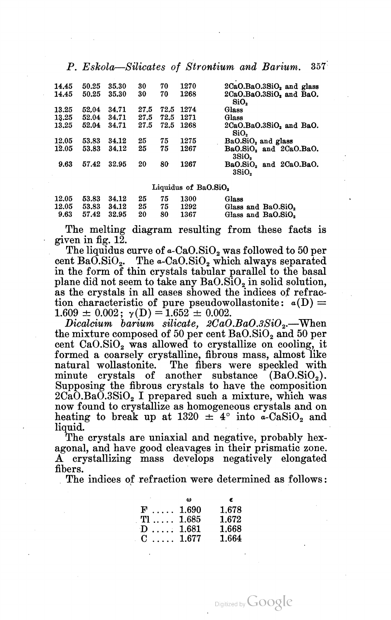| 14.45 | 50.25 | 35.30 | 30   | 70   | 1270 | $2CaO.BaO.3SiO2$ and glass     |
|-------|-------|-------|------|------|------|--------------------------------|
| 14.45 | 50.25 | 35.30 | 30   | 70   | 1268 | $2CaO.BaO.3SiO2$ and BaO.      |
|       |       |       |      |      |      | SiO.                           |
| 13.25 | 52.04 | 34.71 | 27.5 | 72.5 | 1274 | Glass                          |
| 13.25 | 52.04 | 34.71 | 27.5 | 72.5 | 1271 | Glass                          |
| 13.25 | 52.04 | 34.71 | 27.5 | 72.5 | 1268 | $2CaO.BaO.3SiO2$ and BaO.      |
|       |       |       |      |      |      | SiO.                           |
| 12.05 | 53.83 | 34.12 | 25   | 75   | 1275 | BaO.SiO <sub>2</sub> and glass |
| 12.05 | 53.83 | 34.12 | 25   | 75   | 1267 | BaO.SiO, and 2CaO.BaO.         |
|       |       |       |      |      |      | 3SiO.                          |
| 9.63  | 57.42 | 32.95 | 20   | 80   | 1267 | BaO.SiO, and 2CaO.BaO.         |
|       |       |       |      |      |      | 3SiO.                          |

Liquidus of Ba $0.8i0<sub>2</sub>$ 

| 12.05 53.83 34.12 | - 25 | - 75 | 1300 | Glass                          |
|-------------------|------|------|------|--------------------------------|
| 12.05 53.83 34.12 | - 25 | -75  | 1292 | Glass and BaO.SiO <sub>2</sub> |
| 9.63 57.42 32.95  | - 20 | -80  | 1367 | Glass and BaO.SiO.             |

The melting diagram resulting from these facts is given in fig. 12.

The liquidus curve of  $\alpha$ -CaO.SiO<sub>2</sub> was followed to 50 per cent BaO.SiO<sub>2</sub>. The  $a$ -CaO.SiO<sub>2</sub> which always separated in the form of thin crystals tabular parallel to the basal plane did not seem to take any  $BaOSiO<sub>2</sub>$  in solid solution, as the crystals in all cases showed the indices of refrac tion characteristic of pure pseudowollastonite:  $a(D) =$  $1.609 \pm 0.002$ ;  $\gamma(D) = 1.652 \pm 0.002$ .

 $Dicalcium$  barium silicate,  $2CaO.BaO.3SiO_2$ . When the mixture composed of 50 per cent  $BaO.SiO<sub>2</sub>$  and 50 per cent  $CaO.SiO<sub>2</sub>$  was allowed to crystallize on cooling, it formed a coarsely crystalline, fibrous mass, almost like natural wollastonite. The fibers were speckled with minute crystals of another substance  $(Ba0.SiO<sub>2</sub>)$ . Supposing the fibrous crystals to have the composition  $2CaO.BaO.3SiO<sub>2</sub>$  I prepared such a mixture, which was now found to crystallize as homogeneous crystals and on heating to break up at 1320  $\pm$  4° into a-CaSiO<sub>2</sub> and  $\lim_{\Gamma}$   $\lim_{\Gamma}$   $\lim_{\Gamma}$   $\lim_{\Gamma}$   $\lim_{\Gamma}$   $\lim_{\Gamma}$   $\lim_{\Gamma}$   $\lim_{\Gamma}$   $\lim_{\Gamma}$   $\lim_{\Gamma}$ 

liquid.<br>The crystals are uniaxial and negative, probably hexagonal, and have good cleavages in their prismatic zone. A crystallizing mass develops negatively elongated fibers.

. The indices of refraction were determined as follows:

|                   | 68 | e     |
|-------------------|----|-------|
| $F \ldots 1.690$  |    | 1.678 |
| $T1 \ldots 1.685$ |    | 1.672 |
| $D$ 1.681         |    | 1.668 |
| $C_{\dots}$ 1.677 |    | 1.664 |

Digitized by **GOOgle**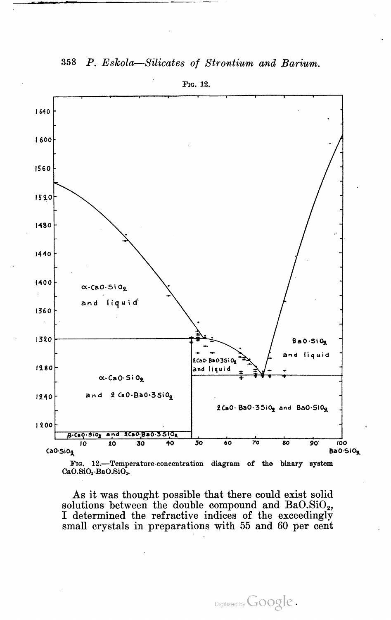

358 P. Eskola—Silicates 0f Strontium and Barium.

FIG. 12.

As it was thought possible that there could exist solid solutions between the double compound and  $BaO.SiO<sub>2</sub>$ , I determined the refractive indices of the exceedingly small crystals in preparations with 55 and 60 per cent

 $CaO.SiO<sub>2</sub>$ -Ba $O.SiO<sub>2</sub>$ .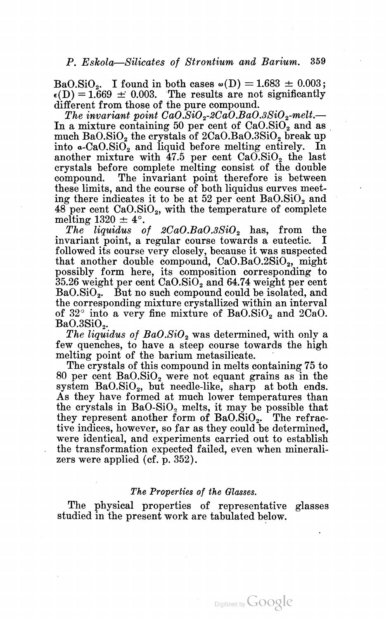BaO.SiO.. I found in both cases  $\omega(D) = 1.683 \pm 0.003$ ;  $\epsilon(D) = 1.669 \pm 0.003$ . The results are not significantly different from those of the pure compound.

The invariant point  $CaO.\overline{SiO}_2$ -2Ca $\overline{O}.BaO.3\overline{SiO}_2$ -melt.— In a mixture containing 50 per cent of  $CaO.SiO<sub>2</sub>$  and as much Ba $0.5i0<sub>2</sub>$  the crystals of  $2CaO.BaO.3SiO<sub>2</sub>$  break up into  $\alpha$ -CaO.SiO<sub>2</sub> and liquid before melting entirely. In another mixture with  $47.5$  per cent  $CaO.SiO<sub>2</sub>$  the last crystals before complete melting consist of the double compound. The invariant point therefore is between these limits, and the course of both liquidus curves meet ing there indicates it to be at  $52$  per cent  $BaOSiO<sub>2</sub>$  and  $48$  per cent  $CaO.SiO<sub>2</sub>$ , with the temperature of complete melting  $1320 \pm 4^{\circ}$ .

The liquidus of  $2CaO.BaO.3SiO_2$  has, from the invariant point, a regular course towards a eutectic. I followed its course very closely, because it was suspected that another double compound,  $CaO.BaO.2SiO<sub>2</sub>$ , might possibly form here, its composition corresponding to  $35.26$  weight per cent  $CaO.SiO<sub>2</sub>$  and  $64.74$  weight per cent BaO.SiO<sub>2</sub>. But no such compound could be isolated, and the corresponding mixture crystallized within an interval of  $32^{\circ}$  into a very fine mixture of  $BaO.SiO_2$  and  $2CaO.$ <br>BaO.3SiO..

The liquidus of  $BaO.SiO<sub>2</sub>$  was determined, with only a few quenches, to have a steep course towards the high melting point of the barium metasilicate.

The crystals of this compound in melts containing 75 to 80 per cent  $BaO.SiO_2$  were not equant grains as in the system  $BaO.SiO_2$ , but needle-like, sharp at both ends. As they have formed at much lower temperatures than the crystals in  $BaO-SiO<sub>2</sub>$  melts, it may be possible that they represent another form of  $BaO.SiO<sub>2</sub>$ . The refractive indices, however, so far as they could be determined, were identical, and experiments carried out to establish the transformation expected failed, even when minerali zers were applied (cf. p. 352).

# The Properties of the Glasses.

The physical properties of representative glasses studied in the present work are tabulated below.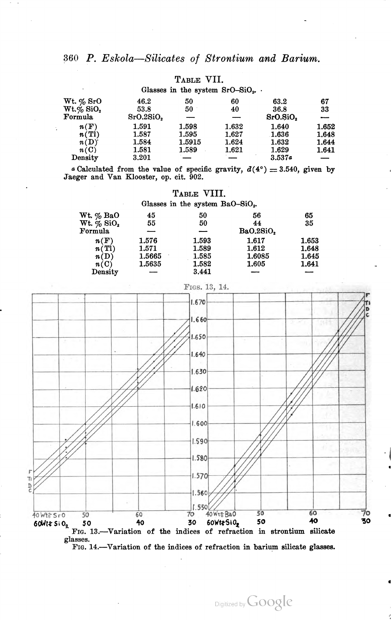|                          |           |        | Glasses in the system $SrO-SiO2$ . |          |       |
|--------------------------|-----------|--------|------------------------------------|----------|-------|
| $Wt. \% SrO$             | 46.2      | 50     | 60                                 | 63.2     | 67    |
| $Wt.\%$ SiO <sub>2</sub> | 53.8      | 50     | 40                                 | 36.8     | 33    |
| Formula                  | SrO.2SiO. |        |                                    | SrO.SiO. |       |
| n(F)                     | 1.591     | 1.598  | 1.632                              | 1.640    | 1.652 |
| n(T)                     | 1.587     | 1.595  | 1.627                              | 1.636    | 1.648 |
| n(D)                     | 1.584     | 1.5915 | 1.624                              | 1.632    | 1.644 |
| n(C)                     | 1.581     | 1.589  | 1.621                              | 1.629    | 1.641 |
| $Density$                | 3.201     |        |                                    | 3.537a   |       |

# TABLE VII.

a Calculated from the value of specific gravity,  $d(4^{\circ}) = 3.540$ , given by Jaeger and Van Klooster, op. cit. 902.

TABLE VIII.

| Glasses in the system $BaO-SiO2$ . |        |       |           |       |  |  |  |  |
|------------------------------------|--------|-------|-----------|-------|--|--|--|--|
| Wt. % BaO                          | 45     | 50    | 56        | 65    |  |  |  |  |
| $Wt. \%$ SiO <sub>2</sub>          | 55     | 50    | 44        | 35    |  |  |  |  |
| Formula                            |        |       | BaO.2SiO. |       |  |  |  |  |
| n(F)                               | 1.576  | 1.593 | 1.617     | 1.653 |  |  |  |  |
| n(T1)                              | 1.571  | 1.589 | 1.612     | 1.648 |  |  |  |  |
| n(D)                               | 1.5665 | 1.585 | 1.6085    | 1.645 |  |  |  |  |
| n(C)                               | 1.5635 | 1.582 | 1.605     | 1.641 |  |  |  |  |
| ${\bf Density}$                    |        | 3.441 |           |       |  |  |  |  |



glasses.

FIG. 14.—Variation of the indices of refraction in barium silicate glasses.

Digitized by Google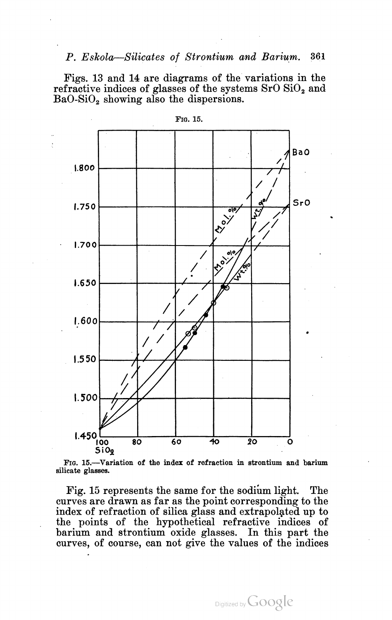Figs. 13 and 14 are diagrams of the variations in the refractive indices of glasses of the systems  $SrO SiO<sub>2</sub>$  and  $BaO-SiO<sub>2</sub>$  showing also the dispersions.



FIG.15.

FIG. 15.—Variation of the index of refraction in strontium and barium silicate glasses.

Fig. 15 represents the same for the sodium light. The curves are drawn as far as the point corresponding to the index of refraction of silica glass and extrapolated up to the points of the hypothetical refractive indices of barium and strontium oxide glasses. In this part the curves, of course, can not give the values of the indices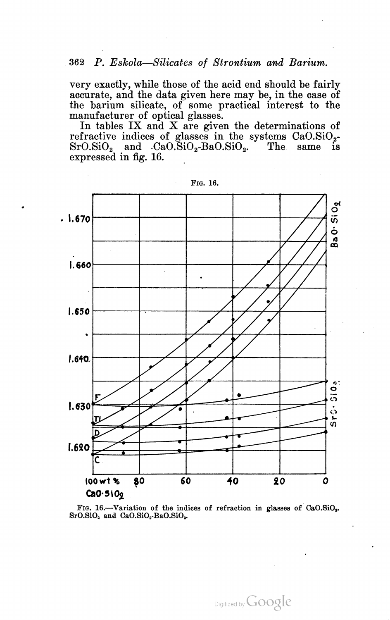very exactly, while those of the acid end should be fairly accurate, and the data given here may be, in the case of the barium silicate, of some practical interest to the manufacturer of optical glasses.

In tables  $IX$  and  $X$  are given the determinations of refractive indices of glasses in the systems  $CaO.SiO<sub>2</sub>$  $SrO.SiO<sub>2</sub>$  and  $CaO.SiO<sub>2</sub>-BaO.SiO<sub>3</sub>$ . The same is expressed in fig. 16.



FIG. 16.

FIG. 16.—Variation of the indices of refraction in glasses of CaO.SiO<sub>2</sub>.  $SrO.SiO<sub>2</sub>$  and  $CaO.SiO<sub>2</sub>-BaO.SiO<sub>2</sub>$ .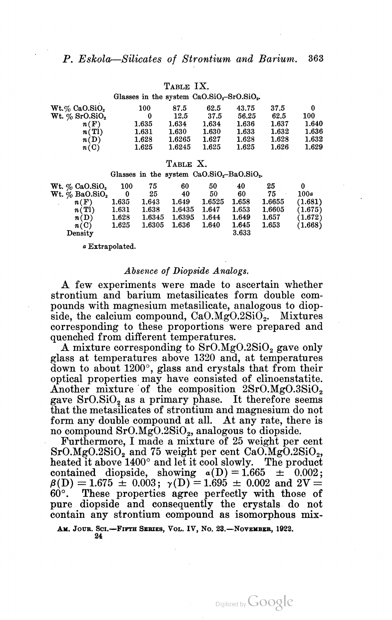# TABLE IX.

Glasses in the system  $CaO.SiO<sub>2</sub>-SrO.SiO<sub>2</sub>$ .

| $Wt.\%$ CaO.SiO,              | 100   | 87.5   | 62.5      | 43.75 | 37.5  | 0     |
|-------------------------------|-------|--------|-----------|-------|-------|-------|
| Wt. $\%$ SrO.SiO <sub>2</sub> | 0     | 12.5   | 37.5      | 56.25 | 62.5  | 100   |
| n(F)                          | 1.635 | 1.634  | 1.634     | 1.636 | 1.637 | 1.640 |
| n(T)                          | 1.631 | 1.630  | 1.630     | 1.633 | 1.632 | 1.636 |
| n(D)                          | 1.628 | 1.6265 | 1.627     | 1.628 | 1.628 | 1.632 |
| n(C)                          | 1.625 | 1.6245 | $1.625\,$ | 1.625 | 1.626 | 1.629 |

#### TABLE X.

#### Glasses in the system  $CaO.SiO<sub>2</sub>$ -Ba $O.SiO<sub>2</sub>$ .

| Wt. % CaO.SiO <sub>2</sub> | 100   | 75     | 60            | 50     | 40    | 25     |         |
|----------------------------|-------|--------|---------------|--------|-------|--------|---------|
| $Wt. \%$ BaO.SiO.          | 0     | -25    | 40            | 50     | 60    | 75     | 100a    |
| n(F)                       | 1.635 | 1.643  | 1.649         | 1.6525 | 1.658 | 1.6655 | (1.681) |
| n(T)                       | 1.631 | 1.638  | 1.6435        | 1.647  | 1.653 | 1.6605 | (1.675) |
| n(D)                       | 1.628 | 1.6345 | 1.6395        | 1.644  | 1.649 | 1.657  | (1.672) |
| n(C)                       | 1.625 | 1.6305 | ${\bf 1.636}$ | 1.640  | 1.645 | 1.653  | (1.668) |
| Density                    |       |        |               |        | 3.633 |        |         |
|                            |       |        |               |        |       |        |         |

a Extrapolated.

### Absence of Diopside Analogs.

A few experiments were made to ascertain whether strontium and barium metasilicates form double com pounds with magnesium metasilicate, analogous to diop side, the calcium compound,  $CaO.MgO.2SiO<sub>2</sub>$ . Mixtures corresponding to these proportions were prepared and quenched from different temperatures.

A mixture corresponding to  $SrO.MgO.2SiO<sub>2</sub>$  gave only glass at temperatures above 1320 and, at temperatures down to about 1200", glass and crystals that from their optical properties may have consisted of clinoenstatite.<br>Another mixture of the composition  $2SrO.MgO.3SiO<sub>2</sub>$  gave SrO.SiO<sub>2</sub> as a primary phase. It therefore seems that the metasilicates of strontium and magnesium do not form any double compound at all. At any rate, there is no compound  $SrO.MgO.2SiO<sub>2</sub>$ , analogous to diopside.

Furthermore, I made a mixture of 25 weight per cent SrO.MgO.2SiO<sub>2</sub>, and 75 weight per cent CaO.MgO.2SiO<sub>2</sub>, heated it above 1400° and let it cool slowly. The product contained diopside, showing  $a(D) = 1.665 \pm 0.002$ ;  $\beta(D) = 1.675 \pm 0.003$ ;  $\gamma(D) = 1.695 \pm 0.002$  and  $2V =$ 60°. These properties agree perfectly with those of pure diopside and consequently the crystals do not contain any strontium compound as isomorphous mix

AM. JOUR. SCI.—FIFTH SERIES, VOL. IV, NO. 23.—NOVEMBER, 1922.<br>24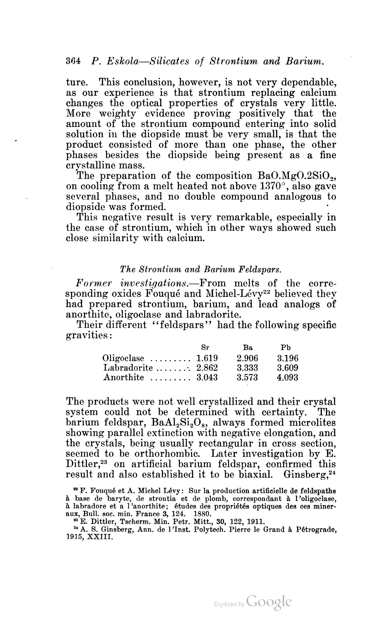ture. This conclusion, however, is not very dependable, as our experience is that strontium replacing calcium changes the optical properties of crystals very little. More weighty evidence proving positively that the amount of the strontium compound entering into solid solution in the diopside must be very small, is that the product consisted of more than one phase, the other phases besides the diopside being present as a fine crystalline mass.

The preparation of the composition  $BaO.MgO.2SiO<sub>2</sub>$ , on cooling from a melt heated not above 1370", also gave several phases, and no double compound analogous to diopside was formed. '

This negative result is very remarkable, especially in the case of strontium, Which in other ways showed such close similarity with calcium.

# The Strontium and Barium Feldspars.

Former investigations.—From melts of the corresponding oxides Fouqué and Michel-Lévy<sup>22</sup> believed they had prepared strontium, barium, and lead analogs of anorthite, Oligoclase and labradorite.

Their different "feldspars" had the following specific gravities:

|                                          | $S_{r}$ | Ba.    | Ph    |
|------------------------------------------|---------|--------|-------|
| Oligoclase $\ldots \ldots \ldots 1.619$  |         | 2.906  | 3.196 |
| Labradorite $\ldots \ldots \ldots 2.862$ |         | 3.333  | 3.609 |
| Anorthite $\ldots \ldots 3.043$          |         | -3.573 | 4.093 |

The products were not well crystallized and their crystal system could not be determined with certainty. The barium feldspar,  $BaAl<sub>2</sub>Si<sub>2</sub>O<sub>8</sub>$ , always formed microlites showing parallel extinction with negative elongation, and the crystals, being usually rectangular in cross section, seemed to be orthorhombic. Later investigation by E. Dittler,<sup>23</sup> on artificial barium feldspar, confirmed this result and also established it to be biaxial. Ginsberg, $24$ 

2' A. S. Ginsberg, Ann. de l'Inst. Polytech. Pierre le Grand a Pétrograde, 1915, XXIII.

<sup>&</sup>lt;sup>22</sup> F. Fouqué et A. Michel Lévy: Sur la production artificielle de feldspaths a base de baryte, de strontia et de plomb, correspondent a l'oligoclase, a labradore et a l'anorthite; études des propriébés optiques des ces miner aux, Bull. soc. min. France 3, 124. 1880.

<sup>&#</sup>x27;3 E. Dittler, Tscherm. Min. Petr. Mitt, 30, 122, 1911.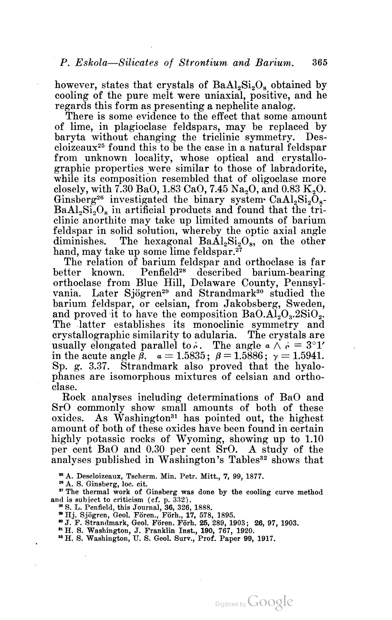however, states that crystals of  $BaAl<sub>2</sub>Si<sub>2</sub>O<sub>8</sub>$  obtained by cooling of the pure melt were uniaxial, positive, and he regards this form as presenting <sup>a</sup> nephelite analog. There is some evidence to the effect that some amount

of lime, in plagioclase feldspars, may be replaced by baryta without changing the triclinic symmetry. Des cloizeaux25 found this to be the case in a natural feldspar from unknown locality, whose optical and crystallo graphic properties were similar to those of labradorite, while its composition resembled that of oligoclase more closely, with  $7.30 \text{ BaO}, 1.83 \text{ CaO}, 7.45 \text{ Na}, 0$ , and  $0.83 \text{ K}, 0$ . Ginsberg<sup>26</sup> investigated the binary system  $CaAl<sub>2</sub>Si<sub>2</sub>O<sub>8</sub>$  $BaAl<sub>2</sub>Si<sub>2</sub>O<sub>8</sub>$  in artificial products and found that the triclinic anorthite may take up limited amounts of barium feldspar in solid solution, whereby the optic axial angle diminishes. The hexagonal  $Ba\AA_2Si_2O_8$ , on the other hand, may take up some lime feldspar.<sup>27</sup>

The relation of barium feldspar and orthoclase is far better known. Penfield<sup>28</sup> described barium-bearing orthoclase from Blue Hill, Delaware County, Pennsyl vania. Later Sjögren<sup>29</sup> and Strandmark<sup>30</sup> studied the barium feldspar, or celsian, from Jakobsberg, Sweden, and proved it to have the composition  $BaO.AI<sub>2</sub>O<sub>3</sub>·2SiO<sub>2</sub>$ .<br>The latter establishes its monoclinic symmetry and crystallographic similarity to adularia. The crystals are usually elongated parallel to  $\phi$ . The angle  $\alpha \wedge \alpha = 3^{\circ}1'$ <br>in the acute angle  $\beta$ .  $\alpha = 1.5835$ ;  $\beta = 1.5886$ ;  $\gamma = 1.5941$ . Sp. g. 3.37. Strandmark also proved that the hyalo plhanes are isomorphous mixtures of celsian and ortho

clase.<br>Rock analyses including determinations of BaO and<br>SrO commonly show small amounts of both of these oxides. As Washington<sup>31</sup> has pointed out, the highest amount of both of these oxides have been found in certain highly potassic rocks of Wyoming, showing up to 1.10 per cent BaO and 0.30 per cent SrO. A study of the analyses published in Washington's Tables<sup>32</sup> shows that

'5 A. Descloizeaux, Tscherm. Min. Petr. Mitt, 7, 99, 1877.

2" A. S. Ginsberg, 10c. cit.

" The thermal work of Ginsberg was done by the cooling curve method and is subject to criticism (cf. p.  $332$ ).  $\frac{38}{5}$  S. L. Penfield, this Journal,  $36, 326, 1888$ .

 $H_{\rm H}$ . Sjögren, Geol. Fören., Förh., 17, 578, 1895.<br>
I. J. Sjögren, Geol. Fören., Förh., 17, 578, 989, 1903; 26, 97, 1903.

<sup>31</sup> H. S. Washington, J. Franklin Inst., 190, 767, 1920.<br><sup>32</sup> H. S. Washington, U. S. Geol. Surv., Prof. Paper 99, 1917.

Digitized by **GOOgle**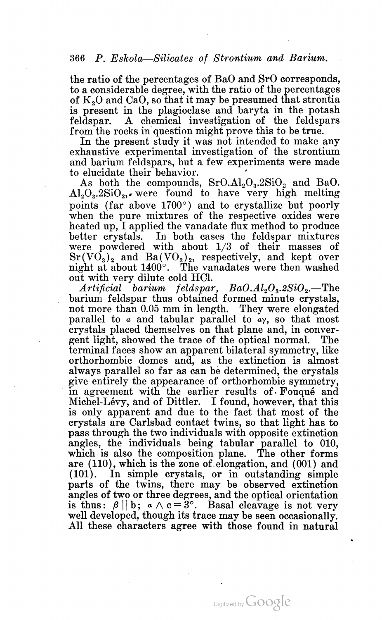the ratio of the percentages of BaO and SrO corresponds, to a considerable degree, with the ratio of the percentages of  $K<sub>2</sub>O$  and CaO, so that it may be presumed that strontia is present in the plagioclase and baryta in the potash feldspar. A chemical investigation of the feldspars from the rocks in question might prove this to be true. In the present study it was not intended to make any

exhaustive experimental investigation of the strontium and barium feldspars, but a few experiments were made to elucidate their behavior.

As both the compounds,  $SrO. A1<sub>2</sub>O<sub>3</sub>$ .2SiO<sub>2</sub> and BaO.  $\text{Al}_2\text{O}_3.2\text{SiO}_2$ , were found to have very high melting points (far above  $1700^{\circ}$ ) and to crystallize but poorly when the pure mixtures of the respective oxides were heated up, I applied the vanadate flux method to produce better crystals. In both cases the feldspar mixtures were powdered with about  $1/3$  of their masses of  $Sr(VO<sub>3</sub>)<sub>2</sub>$  and Ba(VO<sub>3</sub>)<sub>2</sub>, respectively, and kept over night at about 1400°. The vanadates were then washed out with very dilute cold HCl.

 $Artificial$  barium feldspar,  $BaO.Al<sub>2</sub>O<sub>3</sub>.2SiO<sub>2</sub>$ . The barium feldspar thus obtained formed minute crystals, not more than 0.05 mm in length. They were elongated parallel to  $\alpha$  and tabular parallel to  $\alpha y$ , so that most crystals placed themselves on that plane and, in conver gent light, showed the trace of the optical normal. The terminal faces show an apparent bilateral symmetry, like orthorhombic domes and, as the extinction is almost always parallel so far as can be determined, the crystals give entirely the appearance of orthorhombic symmetry, in agreement with the earlier results of Fouqué and Michel-Lévy, and of Dittler. I found, however, that this is only apparent and due to the fact that most of the crystals are Carlsbad contact twins, so that light has to pass through the two individuals with opposite extinction angles, the individuals being tabular parallel to 010, which is also the composition plane. The other forms are (110), which is the zone of elongation, and (001) and (101). In simple crystals, or in outstanding simple parts of the twins, there may be observed extinction angles of two or three degrees, and the optical orientation is thus:  $\beta || b; a \wedge c = 3^{\circ}$ . Basal cleavage is not very well developed, though its trace may be seen occasionally. All these characters agree with those found in natural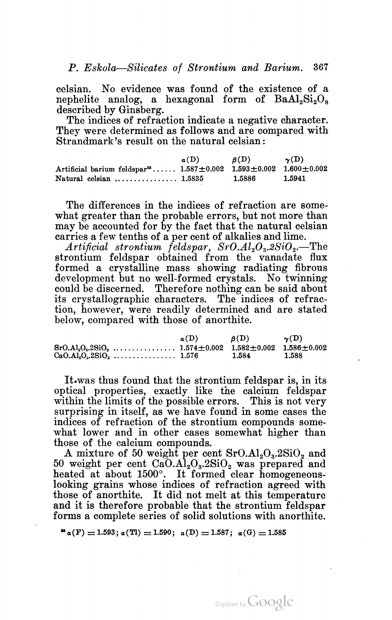celsian. No evidence was found of the existence of a nephelite analog, a hexagonal form of  $BaAl<sub>2</sub>Si<sub>2</sub>O<sub>8</sub>$ 

described by Ginsberg. The indices of refraction indicate <sup>a</sup> negative character. They were determined as follows and are compared with Strandmark's result on the natural celsian:

|                                                                                                | $a(D)$ $\beta(D)$ $\gamma(D)$ |        |        |
|------------------------------------------------------------------------------------------------|-------------------------------|--------|--------|
| Artificial barium feldspar <sup>33</sup> $1.587 \pm 0.002$ $1.593 \pm 0.002$ $1.600 \pm 0.002$ |                               |        |        |
| Natural celsian $\ldots \ldots \ldots \ldots 1.5835$                                           |                               | 1.5886 | 1.5941 |

The differences in the indices of refraction are somewhat greater than the probable errors, but not more than may be accounted for by the fact that the natural celsian carries a few tenths of a per cent of alkalies and lime.

Artificial strontium feldspar,  $SrO.Al<sub>2</sub>O<sub>3</sub>$ .2SiO<sub>2</sub>.—The strontium feldspar obtained from the vanadate flux formed <sup>a</sup> crystalline mass showing radiating fibrous development but no well-formed crystals. No twinning could be discerned. Therefore nothing can be said about its crystallographic characters. The indices of refrac tion, however, were readily determined and are stated below, compared with those of anorthite.

| a(D) | $\mathcal{B}(D)$ | $\gamma(D)$ |
|------|------------------|-------------|
|      |                  |             |
|      | 1.584            | 1.588       |

It-was thus found that the strontium feldspar is, in its optical properties, exactly like the calcium feldspar within the limits of the possible errors. This is not very surprising in itself, as we have found in some cases the indices of refraction of the strontium compounds some what lower and in other cases somewhat higher than those of the calcium compounds.

A mixture of 50 weight per cent  $SrO. A1<sub>2</sub>O<sub>3</sub>$ , 2SiO<sub>2</sub> and  $50$  weight per cent  $CaO.A1<sub>2</sub>O<sub>3</sub>$ .2SiO<sub>2</sub> was prepared and heated at about 1500°. It formed clear homogeneouslooking grains whose indices of refraction agreed with those of anorthite. It did not melt at this temperature and it is therefore probable that the strontium feldspar forms a complete series of solid solutions with anorthite.

Digitized by Google

 $a(F) = 1.593$ ;  $a(T1) = 1.590$ ;  $a(D) = 1.587$ ;  $a(G) = 1.585$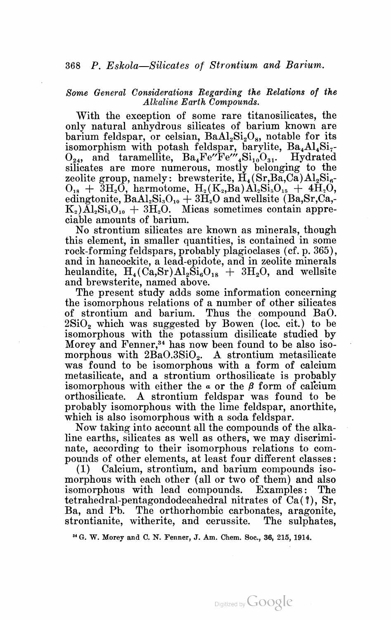# Some General Considerations Regarding the Relations of the Alkaline Earth Compounds.

With the exception of some rare titanosilicates, the only natural anhydrous silicates of barium known are barium feldspar, or celsian, Ba $Al_2Si_2O_8$ , notable for its isomorphism with potash feldspar, barylite, Ba<sub>4</sub>Al<sub>4</sub>Si<sub>7</sub>- $O_{24}$ , and taramellite,  $Ba_4Fe''Fe''$ ,  $Si_{10}O_{31}$ . Hydrated silicates are more numerous, mostly belonging to the zeolite group, namely: brewsterite,  $\dot{H}_4(Sr, Ba, Ca)Al_2Si_6$ .  $O_{18}$  + 3H<sub>2</sub>O, harmotome, H<sub>2</sub>(K<sub>2</sub>,Ba)Al<sub>2</sub>Si<sub>5</sub>O<sub>15</sub> + 4H<sub>2</sub>O, edingtonite,  $BaAl_2Si_3O_{10} + 3H_2O$  and wellsite (Ba,Sr,Ca,- $K_2$ )Al<sub>2</sub>Si<sub>3</sub>O<sub>10</sub> + 3H<sub>2</sub>O. Micas sometimes contain appreciable amounts of barium.

No strontium silicates are known as minerals, though this element, in smaller quantities, is contained in some rock-forming feldspars, probably plagioclases (cf. p. 365), and in hancockite, <sup>a</sup> lead—epidote, and in zeolite minerals heulandite,  $H_4(Ca, Sr) Al_2Si_6O_{18} + 3H_2O$ , and wellsite and brewsterite, named above.

The present study adds some information concerning the isomorphous relations of a number of other silicates of strontium and barium. Thus the compound BaO.  $2SiO<sub>2</sub>$  which was suggested by Bowen (loc. cit.) to be isomorphous with the potassium disilicate studied by Morey and Fenner,<sup>34</sup> has now been found to be also isomorphous with  $2BaO.3SiO<sub>2</sub>$ . A strontium metasilicate was found to be isomorphous with a form of calcium metasilicate, and a strontium orthosilicate is probably isomorphous with either the  $\alpha$  or the  $\beta$  form of calcium<br>orthosilicate. A strontium feldspar was found to be orthosilicate. A strontium feldspar was found to be probably isomorphous with the lime feldspar, anorthite, which is also isomorphous with a soda feldspar.

Now taking into account all the compounds of the alka line earths, silicates as well as others, we may discrimi nate, according to their isomorphous relations to com pounds of other elements, at least four different classes:

(1) Calcium, strontium, and barium compounds iso morphous with each other (all or two of them) and also isomorphous with lead compounds. Examples: The tetrahedral-pentagondodecahedral nitrates of Ca(?), Sr, Ba, and Pb. The orthorhombic carbonates, aragonite, strontianite, witherite, and cerussite. The sulphates,

3' G. W. Morey and C. N. Fenner, J. Am. Chem. Soc., 36, 215, 1914.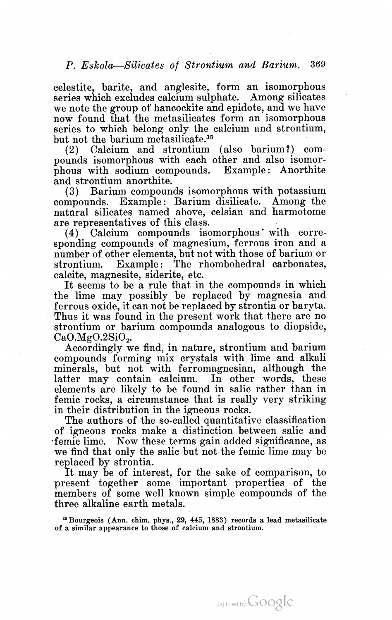celestite, barite, and anglesite, form an isomorphous series which excludes calcium sulphate. Among silicates we note the group of hancockite and epidote, and we have now found that the metasilicates form an isomorphous series to which belong only the calcium and strontium, but not the barium metasilicate.35

(2) Calcium and strontium (also barium?) com pounds isomorphous with each other and also isomor phous with sodium compounds. Example: Anorthite and strontium anorthite.

(3) Barium compounds isomorphous with potassium compounds. Example: Barium disilicate. Among the natural silicates named above, celsian and harmotome are representatives of this class.

(4) Calcium compounds isomorphous' with corre sponding compounds of magnesium, ferrous iron and <sup>a</sup> number of other elements, but not with those of barium or strontium. Example: The rhombohedral carbonates, calcite, magnesite, siderite, etc.

It seems to be a rule that in the compounds in which the lime may possibly be replaced by magnesia and ferrous oxide, it can not be replaced by strontia or baryta.<br>Thus it was found in the present work that there are no strontium or barium compounds analogous to diopside,  $CaO.MgO.2SiO<sub>2</sub>$ .

Accordingly we find, in nature, strontium and barium compounds forming mix crystals with lime and alkali minerals, but not with ferromagnesian, although the latter may contain calcium. In other words, these elements are likely to be found in salic rather than in femic rocks, a circumstance that is really very striking

in their distribution in the igneous rocks. The authors of the so-called quantitative classification of igneous rocks make <sup>a</sup> distinction between salic and 'femic lime. Now these terms gain added significance, as we find that only the salic but not the femic lime may be replaced by strontia.

It may be of interest, for the sake of comparison, to present together some important properties of the members of some well known simple compounds of the three alkaline earth metals.

8' Bourgeois (Ann. chim. phys., 29, 445, 1883) records a lead metasilicate of a similar appearance to those of calcium and strontium.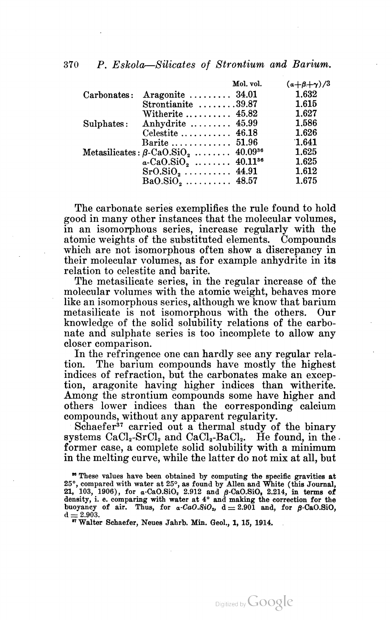|  |  | 370 P. Eskola-Silicates of Strontium and Barium. |  |  |
|--|--|--------------------------------------------------|--|--|
|  |  |                                                  |  |  |

|             |                                                                  | Mol. vol. | $(a+\beta+\gamma)/3$ |
|-------------|------------------------------------------------------------------|-----------|----------------------|
| Carbonates: | Aragonite $\ldots \ldots \ldots$ 34.01                           |           | 1.632                |
|             | Strontianite $\ldots \ldots 39.87$                               |           | 1.615                |
|             | Witherite $\ldots \ldots \ldots$ 45.82                           |           | 1.627                |
|             | Sulphates: Anhydrite $45.99$                                     |           | 1.586                |
|             | Celestite $\ldots \ldots \ldots$ 46.18                           |           | 1.626                |
|             | Barite  51.96                                                    |           | 1.641                |
|             | Metasilicates: $\beta$ -CaO.SiO <sub>2</sub> 40.09 <sup>36</sup> |           | 1.625                |
|             | $a-CaO.SiO2$ 40.11 <sup>36</sup>                                 |           | 1.625                |
|             |                                                                  |           | 1.612                |
|             | $BaO.SiO2$ 48.57                                                 |           | 1.675                |

The carbonate series exemplifies the rule found to hold good in many other instances that the molecular volumes, in an isomorphous series, increase regularly with the atomic weights of the substituted elements. Compounds which are not isomorphous often show <sup>a</sup> discrepancy in their molecular volumes, as for example anhydrite in its relation to celestite and barite.

The metasilicate series, in the regular increase of the molecular volumes with the atomic weight, behaves more like an isomorphous series, although we know that barium metasilicate is not isomorphous with the others. Our knowledge of the solid solubility relations of the carbo nate and sulphate series is too incomplete to allow any closer comparison.

In the refringence one can hardly see any regular rela tion. The barium compounds have mostly the highest indices of refraction, but the carbonates make an excep tion, aragonite having higher indices than Witherite. Among the strontium compounds some have higher and others lower indices than the corresponding calcium compounds, without any apparent regularity.

Schaefer<sup>37</sup> carried out a thermal study of the binary systems CaCl<sub>2</sub>-SrCl<sub>2</sub> and CaCl<sub>2</sub>-BaCl<sub>2</sub>. He found, in the. former case, a complete solid solubility with a minimum in the melting curve, while the latter do not mix at all, but

Digitized by **GOOgle** 

<sup>\*\*</sup> These values have been obtained by computing the specific gravities at 25°, compared with water at 25°, as found by Allen and White (this Journal, 21, 103, 1906), for  $\alpha$ -CaO.SiO, 2.912 and  $\beta$ -CaO.SiO, 2.214, in terms of density, i. e. comparing with water at  $4^\circ$  and making the correction for the buoyancy of air. Thus, for  $a$ -CaO.SiO,  $d = 2.901$  and, for  $B$ -CaO.SiO. buoyancy of air. Thus, for a-CaO.SiO<sub>2</sub>,  $d = 2.901$  and  $d = 2.903$ .<br>
"Walter Schaefer. Neues Jahrb. Min. Geol., 1, 15, 1914.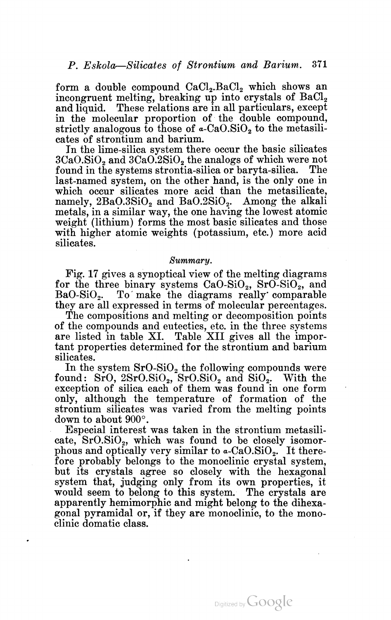form a double compound  $CaCl<sub>2</sub>$ .BaCl<sub>2</sub> which shows an incongruent melting, breaking up into crystals of  $BaCl<sub>2</sub>$ and liquid. These relations are in all particulars, except in the molecular proportion of the double compound, strictly analogous to those of  $\alpha$ -CaO.SiO<sub>2</sub> to the metasili-

cates of strontium and barium. In the lime-silica system there occur the basic silicates  $3CaO.SiO<sub>2</sub>$  and  $3CaO.2SiO<sub>2</sub>$  the analogs of which were not found in the systems strontia-silica or baryta-silica. The last-named system, on the other hand, is the only one in which occur silicates more acid than the metasilicate, namely,  $2BaO.3SiO<sub>2</sub>$  and  $BaO.2SiO<sub>2</sub>$ . Among the alkali metals, in a similar way, the one having the lowest atomic weight (lithium) forms the most basic silicates and those with higher atomic weights (potassium, etc.) more acid silicates.

#### Summary.

Fig. 17 gives a synoptical view of the melting diagrams for the three binary systems  $CaO-SiO_2$ ,  $SrO-SiO_2$ , and  $BaO-SiO_2$ . To make the diagrams really comparable they are all expressed in terms of molecular percentages.

The compositions and melting or decomposition points of the compounds and eutectics, etc. in the three systems are listed in table XI. Table XII gives all the impor tant properties determined for the strontium and barium silicates.

In the system  $SrO-SiO<sub>2</sub>$  the following compounds were found:  $SrO, 2SrO.SiO<sub>2</sub>, SrO.SiO<sub>2</sub>$  and  $SiO<sub>2</sub>$ . With the exception of silica each of them was found in one form only, although the temperature of formation of the strontium silicates was varied from the melting points down to about 900°.

Especial interest was taken in the strontium metasili cate,  $SrO.SiO<sub>2</sub>$ , which was found to be closely isomorphous and optically very similar to  $a$ -CaO.SiO<sub>2</sub>. It therefore probably belongs to the monoclinic crystal system, but its crystals agree so closely with the hexagonal system that, judging only from its own properties, it would seem to belong to this system. The crystals are apparently hemimorphic and might belong to the dihexa gonal pyramidal or, if they are monoclinic, to the mono clinic domatic class.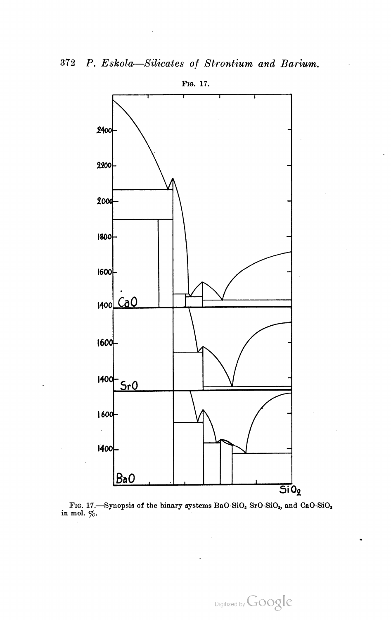

FIG. 17. Synopsis of the binary systems BaO-SiO<sub>2</sub> SrO-SiO<sub>2</sub>, and CaO-SiO<sub>2</sub> in mol.  $\%$ .

Digitized by Google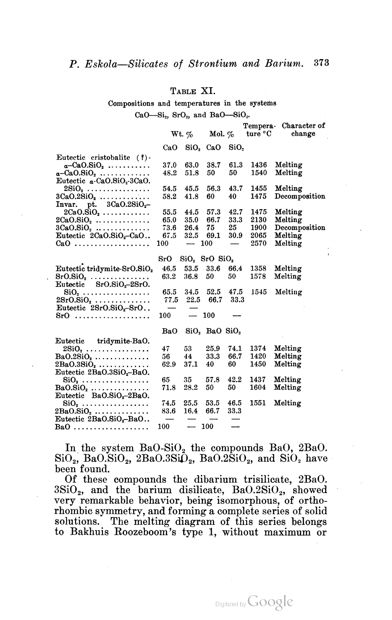# TABLE XI.

Compositions and temperatures in the systems CaO-Si<sub>2</sub>, SrO<sub>2</sub>, and BaO-SiO<sub>2</sub>.

| $SiO2$ CaO<br>SiO.<br>CaO<br>Eutectic cristobalite (?)-                                |  |
|----------------------------------------------------------------------------------------|--|
|                                                                                        |  |
|                                                                                        |  |
| 61.3<br>1436<br>37.0<br>63.0<br>38.7<br>Melting<br>$a$ -CaO.SiO <sub>2</sub>           |  |
| 50<br>Melting<br>48.2<br>51.8<br>50<br>1540<br>$a$ -CaO.SiO <sub>2</sub>               |  |
| Eutectic a-CaO.SiO <sub>2</sub> -3CaO.                                                 |  |
| 1455<br>45.5<br>56.3<br>43.7<br>Melting<br>54.5<br>$2\mathrm{SiO}_2$                   |  |
| 40<br>1475<br>58.2<br>41.8<br>60<br>Decomposition<br>$3CaO.2SiO, \ldots \ldots \ldots$ |  |
| Invar. pt. $3CaO.2SiO2$ -                                                              |  |
| 55.5<br>42.7<br>1475<br>Melting<br>$2CaO.SiO2$<br>44.5<br>57.3                         |  |
| 65.0<br>66.7<br>33.3<br>2130<br>Melting<br>$2CaO.SiO2$<br>35.0                         |  |
| 73.6<br>25<br>1900<br>26.4<br>75<br>Decomposition<br>$3CaO.SiO2$                       |  |
| Eutectic 2CaO.SiO <sub>2</sub> -CaO<br>67.5<br>32.5<br>69.1<br>30.9<br>2065<br>Melting |  |
| 2570<br>100<br>100<br>Melting<br>$CaO$<br>--                                           |  |
|                                                                                        |  |
| $SrO$ SiO, $SrO$ SiO <sub>2</sub>                                                      |  |
| Eutectic tridymite-SrO.SiO2<br>53.5<br>33.6<br>1358<br>46.5<br>66.4<br>Melting         |  |
| 1578<br>Melting<br>$SrO.SiO2$<br>63.2<br>36.8<br>50<br>50                              |  |
| Eutectic $SrO.SiO2-2SrO.$                                                              |  |
| 52.5<br>47.5<br>1545<br>65.5<br>34.5<br>Melting<br>$\rm SiO_2$                         |  |
| 66.7<br>33.3<br>77.5<br>22.5<br>$2SrO.SiO2$                                            |  |
| Eutectic $2SrO.SiO2-SrO.$                                                              |  |
| 100<br>100<br>$SrO$<br>$\overline{\phantom{0}}$                                        |  |
|                                                                                        |  |
| BaO<br>$SiO2$ BaO $SiO2$                                                               |  |
| Eutectic tridymite-BaO.                                                                |  |
| 25.9<br>Melting<br>53<br>74.1<br>1374<br>47<br>$2\mathrm{SiO}_2$                       |  |
| 33.3<br>66.7<br>1420<br>Melting<br>56<br>44<br>$BaO.2SiO2$                             |  |
| 60<br>1450<br>Melting<br>62.9<br>37.1<br>40<br>$2BaO.3SiO2$                            |  |
| Eutectic 2BaO.3SiO <sub>2</sub> -BaO.                                                  |  |
| 42.2<br>65<br>35<br>57.8<br>1437<br>Melting<br>$\mathrm{SiO}_2$                        |  |
| 50<br>1604<br>28.2<br>50<br>Melting<br>71.8<br>$BaO.SiO2$                              |  |
| Eutectic BaO.SiO <sub>2</sub> -2BaO.                                                   |  |
| 1551<br>74.5<br>25.5<br>53.5<br>46.5<br>Melting<br>$\operatorname{SiO}_2$              |  |
| 66.7<br>33.3<br>83.6<br>16.4<br>$2BaO.SiO2 \ldots \ldots \ldots$                       |  |
| Eutectic 2BaO.SiO <sub>2</sub> -BaO                                                    |  |
| $\overline{\phantom{0}}$<br>100<br>100<br>$BaO$                                        |  |

In the system  $BaO-SiO<sub>2</sub>$  the compounds BaO, 2BaO.  $\text{SiO}_2$ , BaO.SiO<sub>2</sub>, 2BaO.3SiO<sub>2</sub>, BaO.2SiO<sub>2</sub>, and SiO<sub>2</sub> have been found.<br>Of these compounds the dibarium trisilicate, 2BaO.

 $3SiO<sub>2</sub>$ , and the barium disilicate, BaO.2SiO<sub>2</sub>, showed very remarkable behavior, being isomorphous, of orthorhombic symmetry, and forming a complete series of solid solutions. The melting diagram of this series belongs to Bakhuis Roozeboom's type 1, without maximum or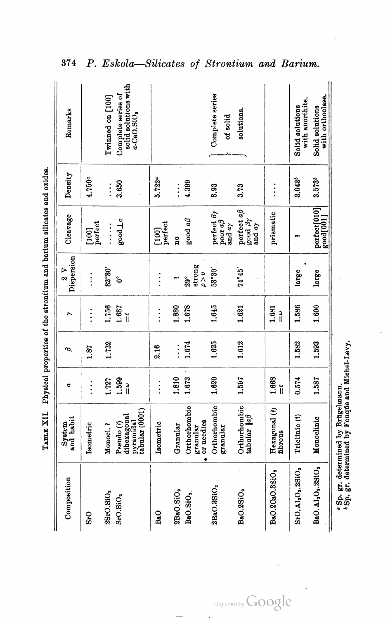| Composition                                           | System<br>and habit                                                 | ¢            | ∾        |                         | Dispersion<br>$\frac{8}{2}$            | Cleavage                                                                          | Density     | Remarks                                                     |
|-------------------------------------------------------|---------------------------------------------------------------------|--------------|----------|-------------------------|----------------------------------------|-----------------------------------------------------------------------------------|-------------|-------------------------------------------------------------|
| S <sub>rO</sub>                                       | Isometric                                                           | $\vdots$     | 1.87     | $\vdots$                | $\vdots$                               | $[100]$<br>perfect                                                                | 4.750ª      |                                                             |
| 2SrO.SiO,                                             | Monocl.?                                                            | 1.727        | 1.732    | 1.756                   | $32^{\circ}30'$                        | $\begin{array}{c} \n\vdots \\ \vdots \\ \vdots\n\end{array}$                      | $\vdots$    | Twinned on [100]                                            |
| S <sub>I</sub> O.SIO <sub>2</sub>                     | tabular (0001)<br>dihexagonal<br>pyramidal<br>Pseudo <sup>(?)</sup> | 1,599<br>ချိ |          | 1.637<br>$\frac{6}{11}$ | ೬                                      | sood Lc                                                                           | 3.650       | solid solutions with<br>Complete series of<br>$a$ -CaO.SiO, |
| BaO                                                   | Isometric                                                           | $\vdots$     | 2.16     | $\vdots$                | $\vdots$                               | $[100]$<br>perfect                                                                | 5.722ª      |                                                             |
| 2BaO.SiO <sub>2</sub>                                 | Granular                                                            | 1.810        | $\vdots$ | 1.830                   |                                        | å                                                                                 | $\vdots$    |                                                             |
| BaO.SiO <sub>2</sub>                                  | Orthorhombic<br>or needles<br>granular                              | 1.673        | 1.674    | 1.678                   | strong<br>$\theta > v$<br>$29^{\circ}$ | good aß                                                                           | 4.399       |                                                             |
| 2BaO.3SiO <sub>2</sub>                                | Orthorhombic<br>granular                                            | 1.620        | 1.625    | 1.645                   | 53°30'                                 | $\frac{\text{perfect } \beta \gamma}{\text{poor } a\beta}$<br>and $a\gamma$       | 3.93        | Complete series<br>of solid                                 |
| BaO.2SiO <sub>2</sub>                                 | Orthorhombic<br>tabular  a <sup>3</sup>                             | 1.597        | 1.612    | 1.621                   | 74°45'                                 | perfect aß<br>$\frac{\text{good}}{\text{and}} \frac{\beta \gamma}{\alpha \gamma}$ | 3.73        | solutions.                                                  |
| BaO.2CaO.3SiO,                                        | Hexagonal (?)<br>fibrous                                            | 1.668<br>ĭ   |          | 1.681<br>ា<br>រ         |                                        | prismatic                                                                         | $\vdots$    |                                                             |
| $S10, A10, O3, 2S10$                                  | Triclinic <sup>(?)</sup>                                            | 0.574        | 1.582    | 1,586                   | large                                  |                                                                                   | 3.043*      | with anorthite.<br>Solid solutions                          |
| BaO.Al <sub>2</sub> O <sub>2</sub> .2SiO <sub>2</sub> | Monoclinic                                                          | 1.587        | 1.593    | 1.600                   | large                                  | perfect[010]<br>good[001]                                                         | $3.573^{b}$ | with orthoclase.<br>Solid solutions                         |

TABLE XII. Physical properties of the strontium and barium silicates and oxides.

d.

 $\mathbf{S}_i$ 

374 P. Eskola-Silicates of Strontium and Barium.